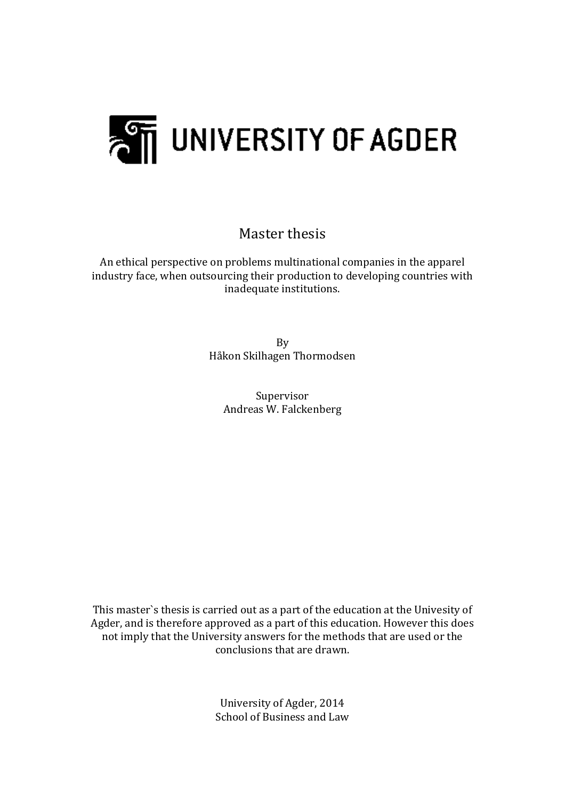

Master thesis

An ethical perspective on problems multinational companies in the apparel industry face, when outsourcing their production to developing countries with inadequate institutions.

> By Håkon Skilhagen Thormodsen

Supervisor Andreas W. Falckenberg

This master's thesis is carried out as a part of the education at the Univesity of Agder, and is therefore approved as a part of this education. However this does not imply that the University answers for the methods that are used or the conclusions that are drawn.

> University of Agder, 2014 School of Business and Law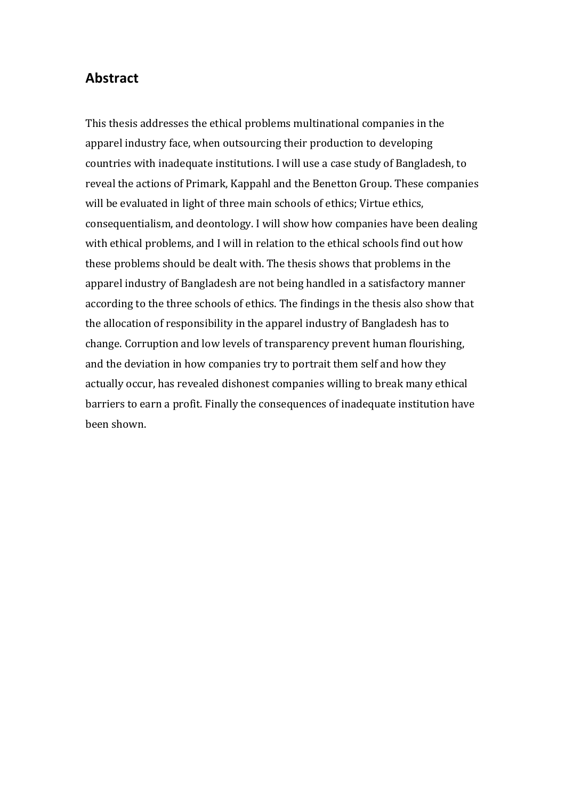### **Abstract**

This thesis addresses the ethical problems multinational companies in the apparel industry face, when outsourcing their production to developing countries with inadequate institutions. I will use a case study of Bangladesh, to reveal the actions of Primark, Kappahl and the Benetton Group. These companies will be evaluated in light of three main schools of ethics; Virtue ethics, consequentialism, and deontology. I will show how companies have been dealing with ethical problems, and I will in relation to the ethical schools find out how these problems should be dealt with. The thesis shows that problems in the apparel industry of Bangladesh are not being handled in a satisfactory manner according to the three schools of ethics. The findings in the thesis also show that the allocation of responsibility in the apparel industry of Bangladesh has to change. Corruption and low levels of transparency prevent human flourishing, and the deviation in how companies try to portrait them self and how they actually occur, has revealed dishonest companies willing to break many ethical barriers to earn a profit. Finally the consequences of inadequate institution have been shown.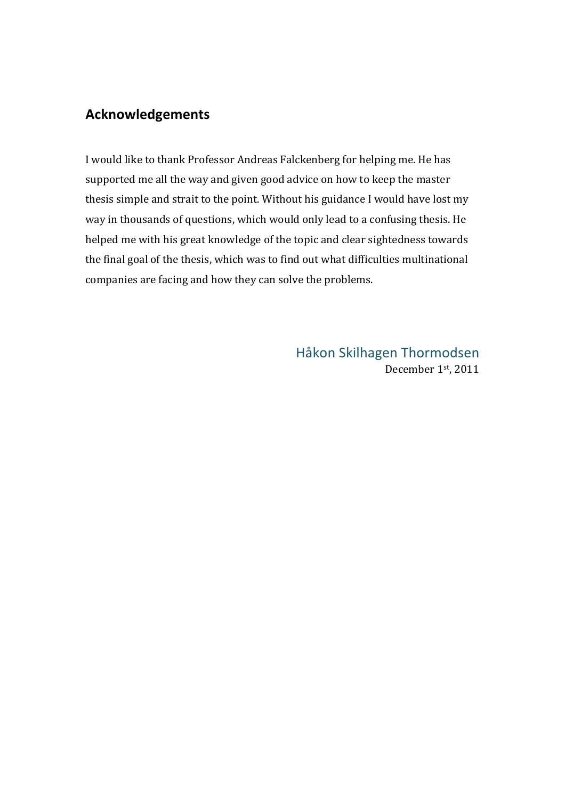# **Acknowledgements**

I would like to thank Professor Andreas Falckenberg for helping me. He has supported me all the way and given good advice on how to keep the master thesis simple and strait to the point. Without his guidance I would have lost my way in thousands of questions, which would only lead to a confusing thesis. He helped me with his great knowledge of the topic and clear sightedness towards the final goal of the thesis, which was to find out what difficulties multinational companies are facing and how they can solve the problems.

> Håkon Skilhagen Thormodsen December 1st, 2011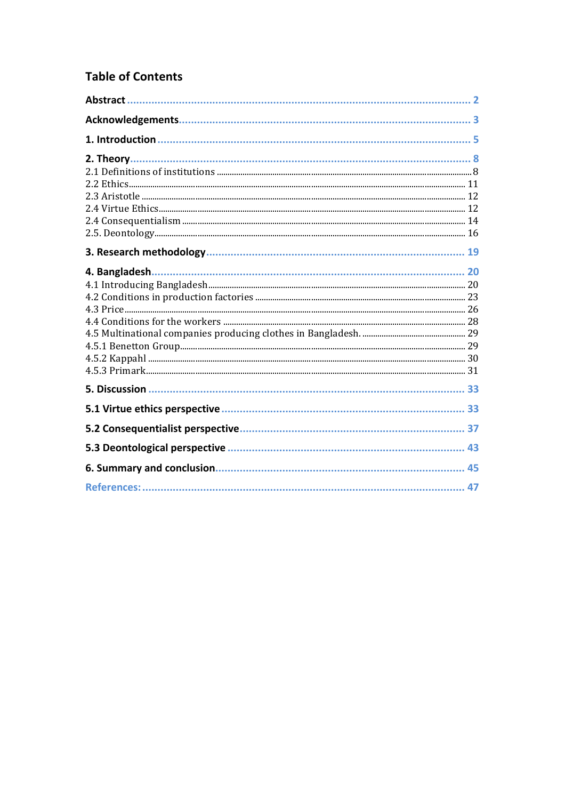# **Table of Contents**

| 4. Bangladesh. |  |
|----------------|--|
|                |  |
|                |  |
|                |  |
|                |  |
|                |  |
|                |  |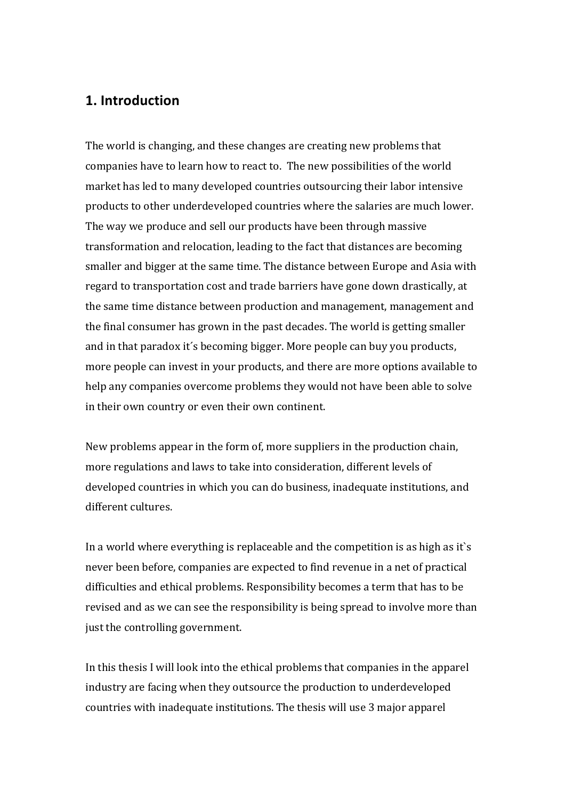# **1. Introduction**

The world is changing, and these changes are creating new problems that companies have to learn how to react to. The new possibilities of the world market has led to many developed countries outsourcing their labor intensive products to other underdeveloped countries where the salaries are much lower. The way we produce and sell our products have been through massive transformation and relocation, leading to the fact that distances are becoming smaller and bigger at the same time. The distance between Europe and Asia with regard to transportation cost and trade barriers have gone down drastically, at the same time distance between production and management, management and the final consumer has grown in the past decades. The world is getting smaller and in that paradox it's becoming bigger. More people can buy you products, more people can invest in your products, and there are more options available to help any companies overcome problems they would not have been able to solve in their own country or even their own continent.

New problems appear in the form of, more suppliers in the production chain, more regulations and laws to take into consideration, different levels of developed countries in which you can do business, inadequate institutions, and different cultures. 

In a world where everything is replaceable and the competition is as high as it's never been before, companies are expected to find revenue in a net of practical difficulties and ethical problems. Responsibility becomes a term that has to be revised and as we can see the responsibility is being spread to involve more than just the controlling government.

In this thesis I will look into the ethical problems that companies in the apparel industry are facing when they outsource the production to underdeveloped countries with inadequate institutions. The thesis will use 3 major apparel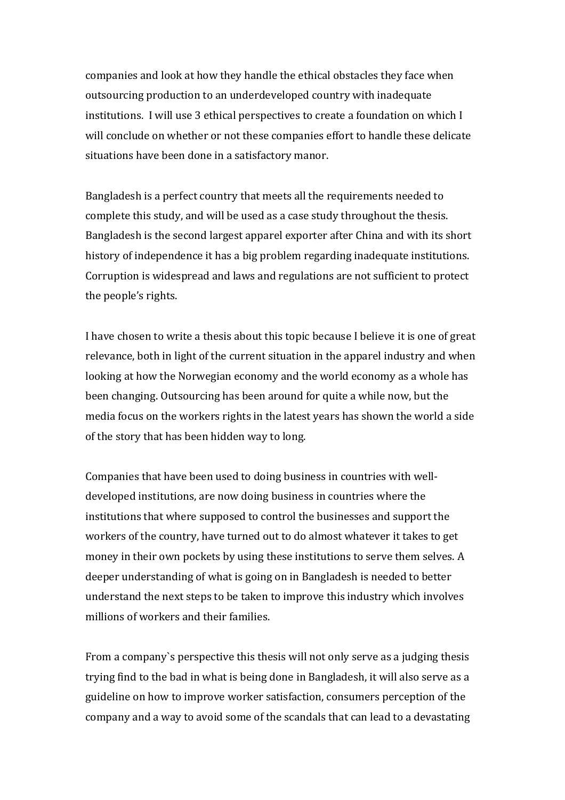companies and look at how they handle the ethical obstacles they face when outsourcing production to an underdeveloped country with inadequate institutions. I will use 3 ethical perspectives to create a foundation on which I will conclude on whether or not these companies effort to handle these delicate situations have been done in a satisfactory manor.

Bangladesh is a perfect country that meets all the requirements needed to complete this study, and will be used as a case study throughout the thesis. Bangladesh is the second largest apparel exporter after China and with its short history of independence it has a big problem regarding inadequate institutions. Corruption is widespread and laws and regulations are not sufficient to protect the people's rights.

I have chosen to write a thesis about this topic because I believe it is one of great relevance, both in light of the current situation in the apparel industry and when looking at how the Norwegian economy and the world economy as a whole has been changing. Outsourcing has been around for quite a while now, but the media focus on the workers rights in the latest years has shown the world a side of the story that has been hidden way to long.

Companies that have been used to doing business in countries with welldeveloped institutions, are now doing business in countries where the institutions that where supposed to control the businesses and support the workers of the country, have turned out to do almost whatever it takes to get money in their own pockets by using these institutions to serve them selves. A deeper understanding of what is going on in Bangladesh is needed to better understand the next steps to be taken to improve this industry which involves millions of workers and their families.

From a company's perspective this thesis will not only serve as a judging thesis trying find to the bad in what is being done in Bangladesh, it will also serve as a guideline on how to improve worker satisfaction, consumers perception of the company and a way to avoid some of the scandals that can lead to a devastating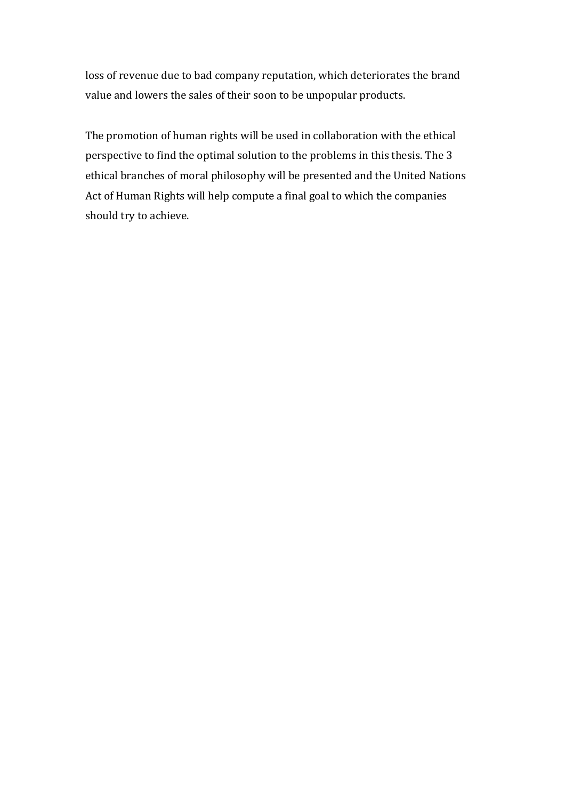loss of revenue due to bad company reputation, which deteriorates the brand value and lowers the sales of their soon to be unpopular products.

The promotion of human rights will be used in collaboration with the ethical perspective to find the optimal solution to the problems in this thesis. The 3 ethical branches of moral philosophy will be presented and the United Nations Act of Human Rights will help compute a final goal to which the companies should try to achieve.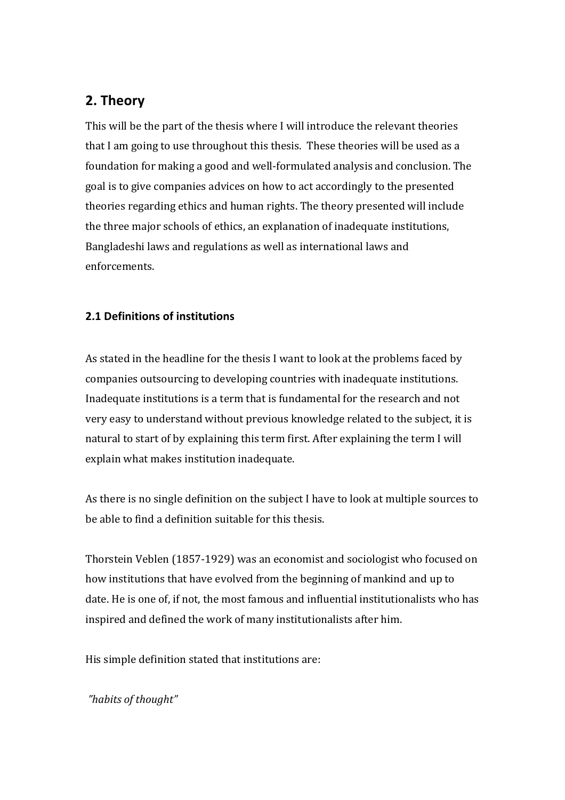# **2. Theory**

This will be the part of the thesis where I will introduce the relevant theories that I am going to use throughout this thesis. These theories will be used as a foundation for making a good and well-formulated analysis and conclusion. The goal is to give companies advices on how to act accordingly to the presented theories regarding ethics and human rights. The theory presented will include the three major schools of ethics, an explanation of inadequate institutions, Bangladeshi laws and regulations as well as international laws and enforcements.

### **2.1 Definitions of institutions**

As stated in the headline for the thesis I want to look at the problems faced by companies outsourcing to developing countries with inadequate institutions. Inadequate institutions is a term that is fundamental for the research and not very easy to understand without previous knowledge related to the subject, it is natural to start of by explaining this term first. After explaining the term I will explain what makes institution inadequate.

As there is no single definition on the subject I have to look at multiple sources to be able to find a definition suitable for this thesis.

Thorstein Veblen (1857-1929) was an economist and sociologist who focused on how institutions that have evolved from the beginning of mankind and up to date. He is one of, if not, the most famous and influential institutionalists who has inspired and defined the work of many institutionalists after him.

His simple definition stated that institutions are:

*"habits of thought"*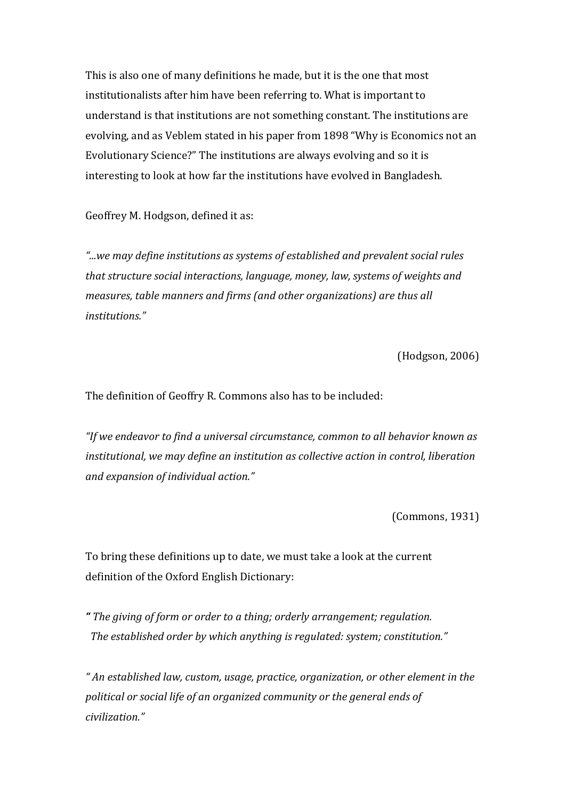This is also one of many definitions he made, but it is the one that most institutionalists after him have been referring to. What is important to understand is that institutions are not something constant. The institutions are evolving, and as Veblem stated in his paper from 1898 "Why is Economics not an Evolutionary Science?" The institutions are always evolving and so it is interesting to look at how far the institutions have evolved in Bangladesh.

Geoffrey M. Hodgson, defined it as:

"...we may define institutions as systems of established and prevalent social rules that structure social interactions, language, money, law, systems of weights and *measures, table manners and firms (and other organizations) are thus all institutions."*

(Hodgson, 2006)

The definition of Geoffry R. Commons also has to be included:

"If we endeavor to find a universal circumstance, common to all behavior known as *institutional, we may define an institution as collective action in control, liberation and expansion of individual action."*

(Commons, 1931)

To bring these definitions up to date, we must take a look at the current definition of the Oxford English Dictionary:

*" The giving of form or order to a thing; orderly arrangement; regulation.* The established order by which anything is regulated: system; constitution."

" An established law, custom, usage, practice, organization, or other element in the political or social life of an organized community or the general ends of *civilization."*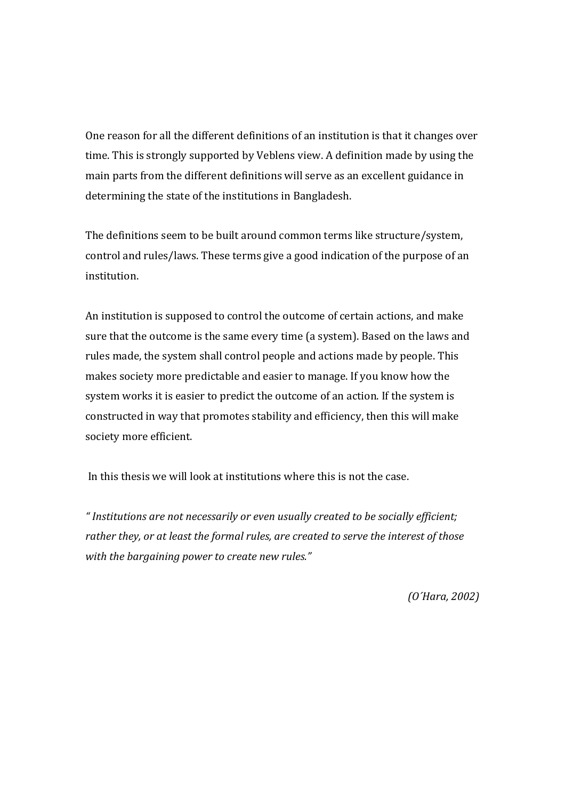One reason for all the different definitions of an institution is that it changes over time. This is strongly supported by Veblens view. A definition made by using the main parts from the different definitions will serve as an excellent guidance in determining the state of the institutions in Bangladesh.

The definitions seem to be built around common terms like structure/system, control and rules/laws. These terms give a good indication of the purpose of an institution. 

An institution is supposed to control the outcome of certain actions, and make sure that the outcome is the same every time (a system). Based on the laws and rules made, the system shall control people and actions made by people. This makes society more predictable and easier to manage. If you know how the system works it is easier to predict the outcome of an action. If the system is constructed in way that promotes stability and efficiency, then this will make society more efficient.

In this thesis we will look at institutions where this is not the case.

*" Institutions are not necessarily or even usually created to be socially efficient;*  rather they, or at least the formal rules, are created to serve the interest of those with the bargaining power to create new rules."

*(O´Hara, 2002)*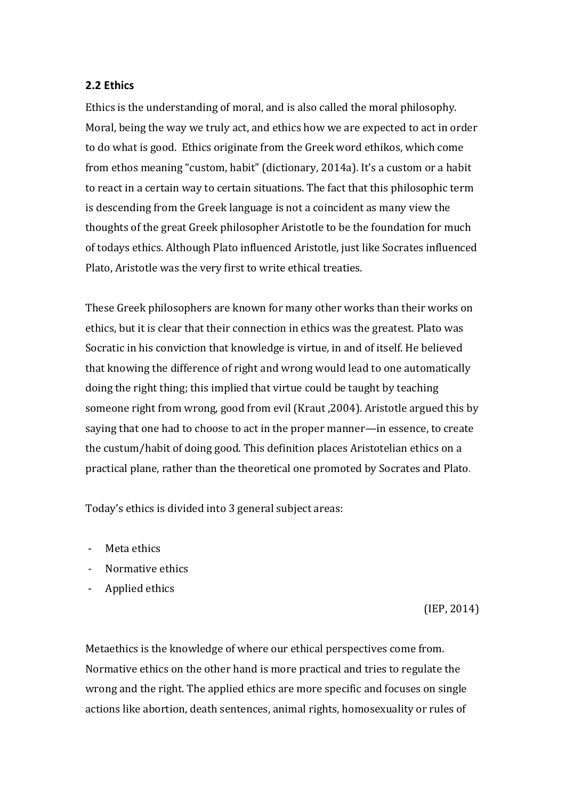### **2.2 Ethics**

Ethics is the understanding of moral, and is also called the moral philosophy. Moral, being the way we truly act, and ethics how we are expected to act in order to do what is good. Ethics originate from the Greek word ethikos, which come from ethos meaning "custom, habit" (dictionary, 2014a). It's a custom or a habit to react in a certain way to certain situations. The fact that this philosophic term is descending from the Greek language is not a coincident as many view the thoughts of the great Greek philosopher Aristotle to be the foundation for much of todays ethics. Although Plato influenced Aristotle, just like Socrates influenced Plato, Aristotle was the very first to write ethical treaties.

These Greek philosophers are known for many other works than their works on ethics, but it is clear that their connection in ethics was the greatest. Plato was Socratic in his conviction that knowledge is virtue, in and of itself. He believed that knowing the difference of right and wrong would lead to one automatically doing the right thing; this implied that virtue could be taught by teaching someone right from wrong, good from evil (Kraut, 2004). Aristotle argued this by saying that one had to choose to act in the proper manner—in essence, to create the custum/habit of doing good. This definition places Aristotelian ethics on a practical plane, rather than the theoretical one promoted by Socrates and Plato.

Today's ethics is divided into 3 general subject areas:

- Meta ethics
- Normative ethics
- Applied ethics

 $(IEP, 2014)$ 

Metaethics is the knowledge of where our ethical perspectives come from. Normative ethics on the other hand is more practical and tries to regulate the wrong and the right. The applied ethics are more specific and focuses on single actions like abortion, death sentences, animal rights, homosexuality or rules of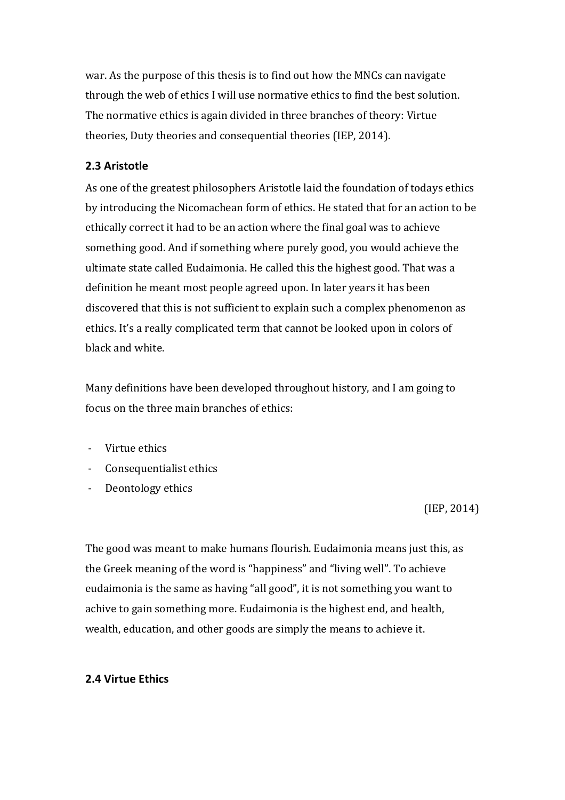war. As the purpose of this thesis is to find out how the MNCs can navigate through the web of ethics I will use normative ethics to find the best solution. The normative ethics is again divided in three branches of theory: Virtue theories, Duty theories and consequential theories (IEP, 2014).

### **2.3 Aristotle**

As one of the greatest philosophers Aristotle laid the foundation of todays ethics by introducing the Nicomachean form of ethics. He stated that for an action to be ethically correct it had to be an action where the final goal was to achieve something good. And if something where purely good, you would achieve the ultimate state called Eudaimonia. He called this the highest good. That was a definition he meant most people agreed upon. In later years it has been discovered that this is not sufficient to explain such a complex phenomenon as ethics. It's a really complicated term that cannot be looked upon in colors of black and white.

Many definitions have been developed throughout history, and I am going to focus on the three main branches of ethics:

- Virtue ethics
- Consequentialist ethics
- Deontology ethics

 $(IEP, 2014)$ 

The good was meant to make humans flourish. Eudaimonia means just this, as the Greek meaning of the word is "happiness" and "living well". To achieve eudaimonia is the same as having "all good", it is not something you want to achive to gain something more. Eudaimonia is the highest end, and health, wealth, education, and other goods are simply the means to achieve it.

### **2.4 Virtue Ethics**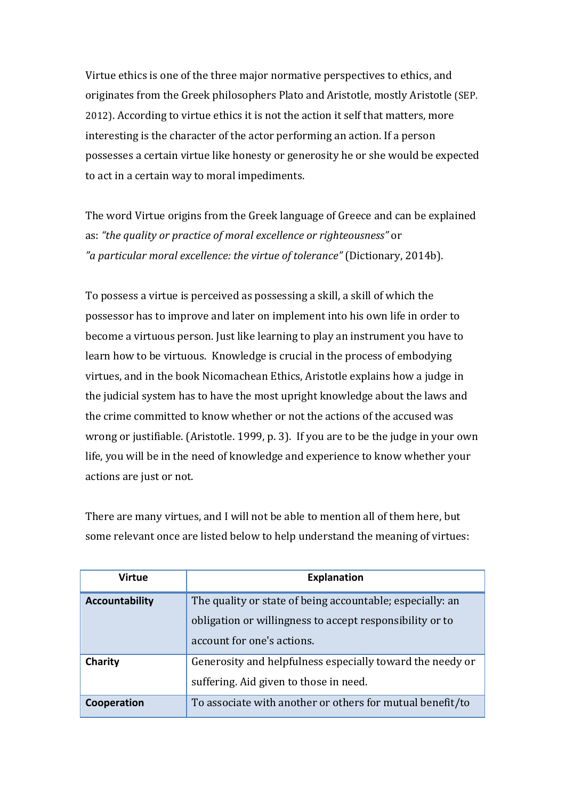Virtue ethics is one of the three major normative perspectives to ethics, and originates from the Greek philosophers Plato and Aristotle, mostly Aristotle (SEP. 2012). According to virtue ethics it is not the action it self that matters, more interesting is the character of the actor performing an action. If a person possesses a certain virtue like honesty or generosity he or she would be expected to act in a certain way to moral impediments.

The word Virtue origins from the Greek language of Greece and can be explained as: *"the quality or practice of moral excellence or righteousness"* or *"a particular moral excellence: the virtue of tolerance"* (Dictionary, 2014b). 

To possess a virtue is perceived as possessing a skill, a skill of which the possessor has to improve and later on implement into his own life in order to become a virtuous person. Just like learning to play an instrument you have to learn how to be virtuous. Knowledge is crucial in the process of embodying virtues, and in the book Nicomachean Ethics, Aristotle explains how a judge in the judicial system has to have the most upright knowledge about the laws and the crime committed to know whether or not the actions of the accused was wrong or justifiable. (Aristotle. 1999, p. 3). If you are to be the judge in your own life, you will be in the need of knowledge and experience to know whether your actions are just or not.

There are many virtues, and I will not be able to mention all of them here, but some relevant once are listed below to help understand the meaning of virtues:

| Virtue                | <b>Explanation</b>                                                                                                                                  |
|-----------------------|-----------------------------------------------------------------------------------------------------------------------------------------------------|
| <b>Accountability</b> | The quality or state of being accountable; especially: an<br>obligation or willingness to accept responsibility or to<br>account for one's actions. |
| Charity               | Generosity and helpfulness especially toward the needy or<br>suffering. Aid given to those in need.                                                 |
| Cooperation           | To associate with another or others for mutual benefit/to                                                                                           |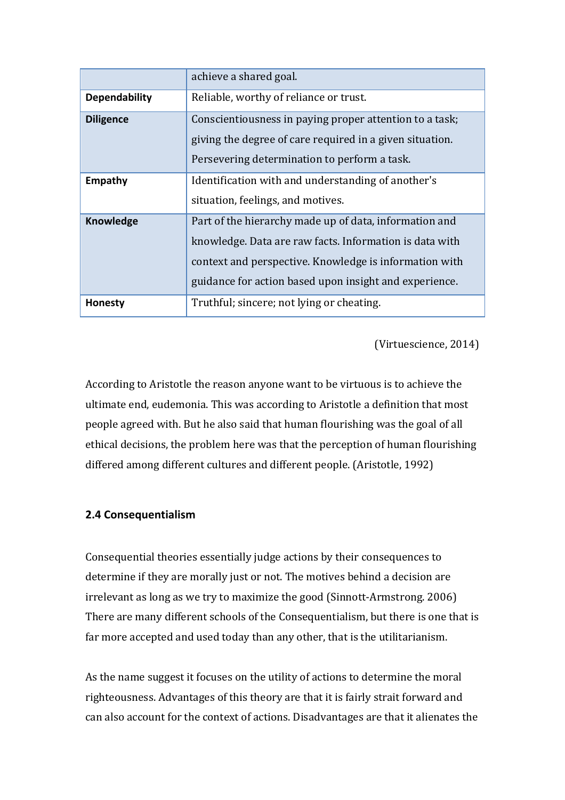|                      | achieve a shared goal.                                                                                              |
|----------------------|---------------------------------------------------------------------------------------------------------------------|
| <b>Dependability</b> | Reliable, worthy of reliance or trust.                                                                              |
| <b>Diligence</b>     | Conscientiousness in paying proper attention to a task;<br>giving the degree of care required in a given situation. |
|                      | Persevering determination to perform a task.                                                                        |
| Empathy              | Identification with and understanding of another's                                                                  |
|                      | situation, feelings, and motives.                                                                                   |
| <b>Knowledge</b>     | Part of the hierarchy made up of data, information and                                                              |
|                      | knowledge. Data are raw facts. Information is data with                                                             |
|                      | context and perspective. Knowledge is information with                                                              |
|                      | guidance for action based upon insight and experience.                                                              |
| <b>Honesty</b>       | Truthful; sincere; not lying or cheating.                                                                           |

(Virtuescience, 2014)

According to Aristotle the reason anyone want to be virtuous is to achieve the ultimate end, eudemonia. This was according to Aristotle a definition that most people agreed with. But he also said that human flourishing was the goal of all ethical decisions, the problem here was that the perception of human flourishing differed among different cultures and different people. (Aristotle, 1992)

### **2.4 Consequentialism**

Consequential theories essentially judge actions by their consequences to determine if they are morally just or not. The motives behind a decision are irrelevant as long as we try to maximize the good (Sinnott-Armstrong. 2006) There are many different schools of the Consequentialism, but there is one that is far more accepted and used today than any other, that is the utilitarianism.

As the name suggest it focuses on the utility of actions to determine the moral righteousness. Advantages of this theory are that it is fairly strait forward and can also account for the context of actions. Disadvantages are that it alienates the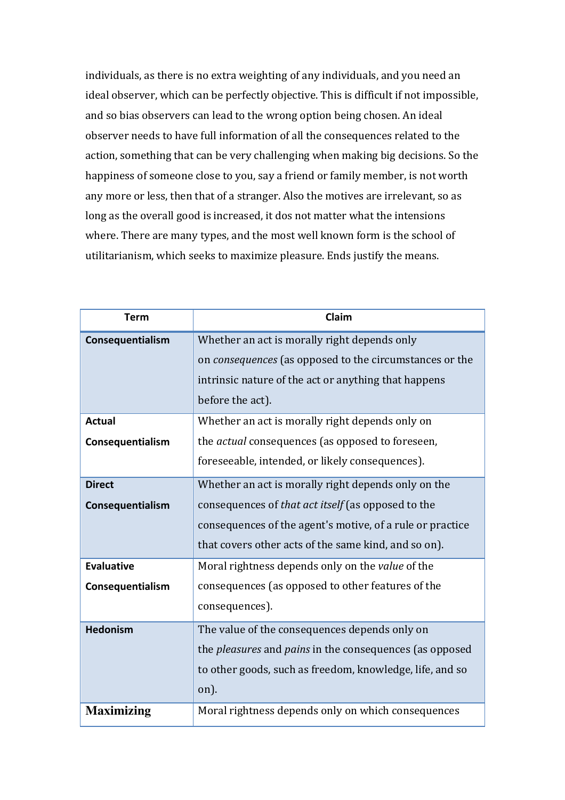individuals, as there is no extra weighting of any individuals, and you need an ideal observer, which can be perfectly objective. This is difficult if not impossible, and so bias observers can lead to the wrong option being chosen. An ideal observer needs to have full information of all the consequences related to the action, something that can be very challenging when making big decisions. So the happiness of someone close to you, say a friend or family member, is not worth any more or less, then that of a stranger. Also the motives are irrelevant, so as long as the overall good is increased, it dos not matter what the intensions where. There are many types, and the most well known form is the school of utilitarianism, which seeks to maximize pleasure. Ends justify the means.

| <b>Term</b>       | Claim                                                                 |
|-------------------|-----------------------------------------------------------------------|
| Consequentialism  | Whether an act is morally right depends only                          |
|                   | on <i>consequences</i> (as opposed to the circumstances or the        |
|                   | intrinsic nature of the act or anything that happens                  |
|                   | before the act).                                                      |
| <b>Actual</b>     | Whether an act is morally right depends only on                       |
| Consequentialism  | the <i>actual</i> consequences (as opposed to foreseen,               |
|                   | foreseeable, intended, or likely consequences).                       |
| <b>Direct</b>     | Whether an act is morally right depends only on the                   |
| Consequentialism  | consequences of that act itself (as opposed to the                    |
|                   | consequences of the agent's motive, of a rule or practice             |
|                   | that covers other acts of the same kind, and so on).                  |
| <b>Evaluative</b> | Moral rightness depends only on the <i>value</i> of the               |
| Consequentialism  | consequences (as opposed to other features of the                     |
|                   | consequences).                                                        |
| <b>Hedonism</b>   | The value of the consequences depends only on                         |
|                   | the <i>pleasures</i> and <i>pains</i> in the consequences (as opposed |
|                   | to other goods, such as freedom, knowledge, life, and so              |
|                   | on).                                                                  |
| <b>Maximizing</b> | Moral rightness depends only on which consequences                    |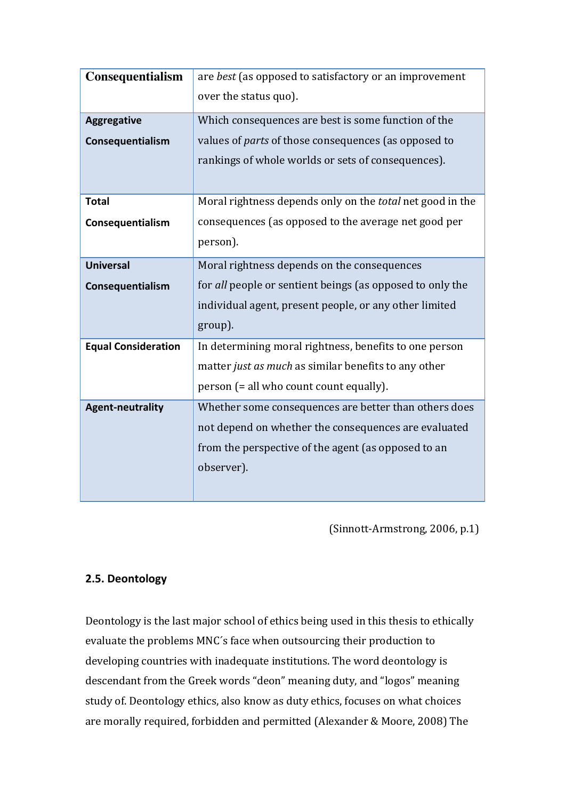| Consequentialism           | are best (as opposed to satisfactory or an improvement      |
|----------------------------|-------------------------------------------------------------|
|                            | over the status quo).                                       |
| <b>Aggregative</b>         | Which consequences are best is some function of the         |
| Consequentialism           | values of <i>parts</i> of those consequences (as opposed to |
|                            | rankings of whole worlds or sets of consequences).          |
|                            |                                                             |
| <b>Total</b>               | Moral rightness depends only on the total net good in the   |
| Consequentialism           | consequences (as opposed to the average net good per        |
|                            | person).                                                    |
| <b>Universal</b>           | Moral rightness depends on the consequences                 |
| Consequentialism           | for all people or sentient beings (as opposed to only the   |
|                            | individual agent, present people, or any other limited      |
|                            | group).                                                     |
| <b>Equal Consideration</b> | In determining moral rightness, benefits to one person      |
|                            | matter just as much as similar benefits to any other        |
|                            | person (= all who count count equally).                     |
| <b>Agent-neutrality</b>    | Whether some consequences are better than others does       |
|                            | not depend on whether the consequences are evaluated        |
|                            | from the perspective of the agent (as opposed to an         |
|                            | observer).                                                  |
|                            |                                                             |

(Sinnott-Armstrong, 2006, p.1)

# **2.5. Deontology**

Deontology is the last major school of ethics being used in this thesis to ethically evaluate the problems MNC's face when outsourcing their production to developing countries with inadequate institutions. The word deontology is descendant from the Greek words "deon" meaning duty, and "logos" meaning study of. Deontology ethics, also know as duty ethics, focuses on what choices are morally required, forbidden and permitted (Alexander & Moore, 2008) The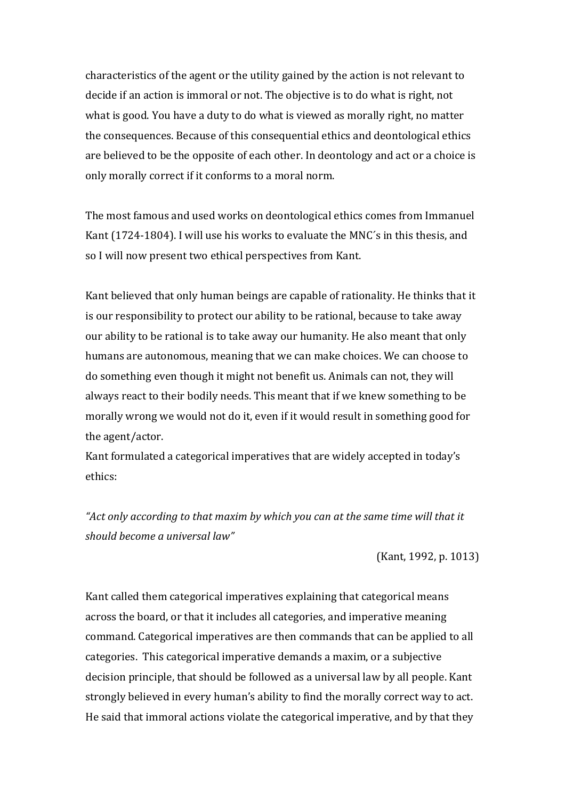characteristics of the agent or the utility gained by the action is not relevant to decide if an action is immoral or not. The objective is to do what is right, not what is good. You have a duty to do what is viewed as morally right, no matter the consequences. Because of this consequential ethics and deontological ethics are believed to be the opposite of each other. In deontology and act or a choice is only morally correct if it conforms to a moral norm.

The most famous and used works on deontological ethics comes from Immanuel Kant (1724-1804). I will use his works to evaluate the MNC's in this thesis, and so I will now present two ethical perspectives from Kant.

Kant believed that only human beings are capable of rationality. He thinks that it is our responsibility to protect our ability to be rational, because to take away our ability to be rational is to take away our humanity. He also meant that only humans are autonomous, meaning that we can make choices. We can choose to do something even though it might not benefit us. Animals can not, they will always react to their bodily needs. This meant that if we knew something to be morally wrong we would not do it, even if it would result in something good for the agent/actor.

Kant formulated a categorical imperatives that are widely accepted in today's ethics:

"Act only according to that maxim by which you can at the same time will that it *should become a universal law"*

 $(Kant, 1992, p. 1013)$ 

Kant called them categorical imperatives explaining that categorical means across the board, or that it includes all categories, and imperative meaning command. Categorical imperatives are then commands that can be applied to all categories. This categorical imperative demands a maxim, or a subjective decision principle, that should be followed as a universal law by all people. Kant strongly believed in every human's ability to find the morally correct way to act. He said that immoral actions violate the categorical imperative, and by that they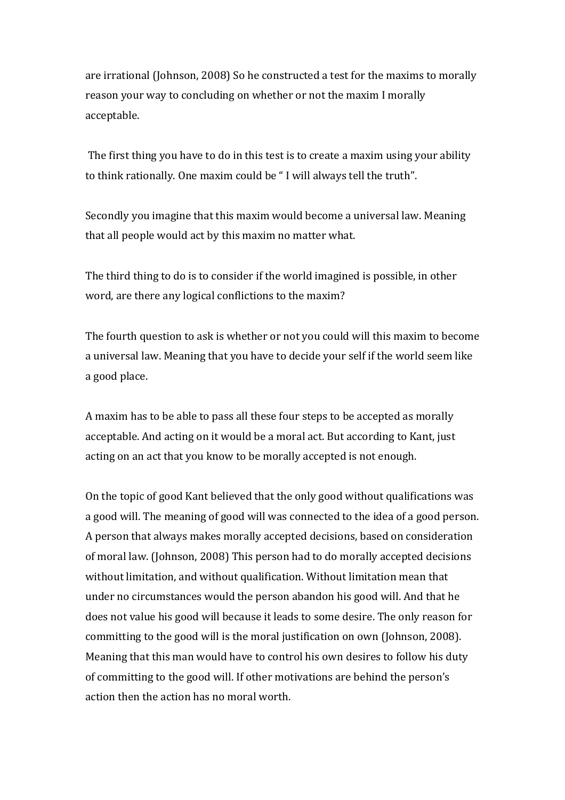are irrational (Johnson, 2008) So he constructed a test for the maxims to morally reason your way to concluding on whether or not the maxim I morally acceptable. 

The first thing you have to do in this test is to create a maxim using your ability to think rationally. One maxim could be "I will always tell the truth".

Secondly you imagine that this maxim would become a universal law. Meaning that all people would act by this maxim no matter what.

The third thing to do is to consider if the world imagined is possible, in other word, are there any logical conflictions to the maxim?

The fourth question to ask is whether or not you could will this maxim to become a universal law. Meaning that you have to decide your self if the world seem like a good place.

A maxim has to be able to pass all these four steps to be accepted as morally acceptable. And acting on it would be a moral act. But according to Kant, just acting on an act that you know to be morally accepted is not enough.

On the topic of good Kant believed that the only good without qualifications was a good will. The meaning of good will was connected to the idea of a good person. A person that always makes morally accepted decisions, based on consideration of moral law. (Johnson, 2008) This person had to do morally accepted decisions without limitation, and without qualification. Without limitation mean that under no circumstances would the person abandon his good will. And that he does not value his good will because it leads to some desire. The only reason for committing to the good will is the moral justification on own (Johnson, 2008). Meaning that this man would have to control his own desires to follow his duty of committing to the good will. If other motivations are behind the person's action then the action has no moral worth.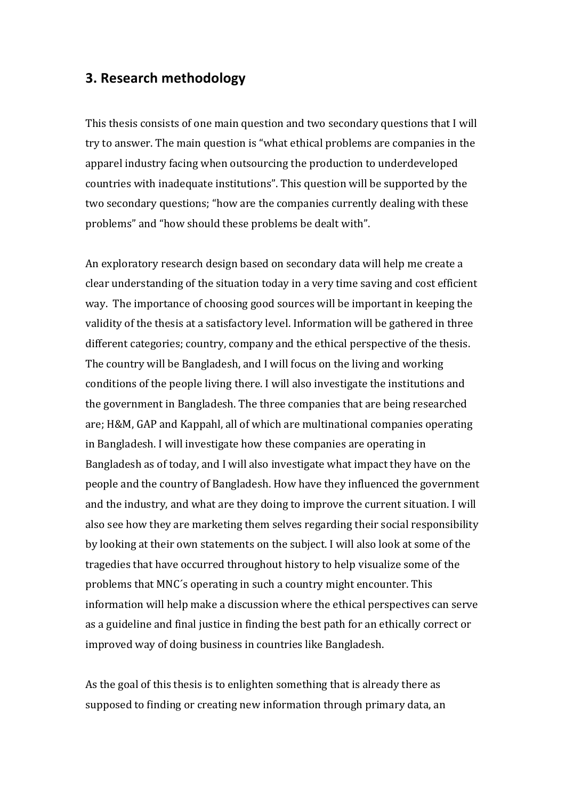### **3. Research methodology**

This thesis consists of one main question and two secondary questions that I will try to answer. The main question is "what ethical problems are companies in the apparel industry facing when outsourcing the production to underdeveloped countries with inadequate institutions". This question will be supported by the two secondary questions; "how are the companies currently dealing with these problems" and "how should these problems be dealt with".

An exploratory research design based on secondary data will help me create a clear understanding of the situation today in a very time saving and cost efficient way. The importance of choosing good sources will be important in keeping the validity of the thesis at a satisfactory level. Information will be gathered in three different categories; country, company and the ethical perspective of the thesis. The country will be Bangladesh, and I will focus on the living and working conditions of the people living there. I will also investigate the institutions and the government in Bangladesh. The three companies that are being researched are; H&M, GAP and Kappahl, all of which are multinational companies operating in Bangladesh. I will investigate how these companies are operating in Bangladesh as of today, and I will also investigate what impact they have on the people and the country of Bangladesh. How have they influenced the government and the industry, and what are they doing to improve the current situation. I will also see how they are marketing them selves regarding their social responsibility by looking at their own statements on the subject. I will also look at some of the tragedies that have occurred throughout history to help visualize some of the problems that MNC's operating in such a country might encounter. This information will help make a discussion where the ethical perspectives can serve as a guideline and final justice in finding the best path for an ethically correct or improved way of doing business in countries like Bangladesh.

As the goal of this thesis is to enlighten something that is already there as supposed to finding or creating new information through primary data, an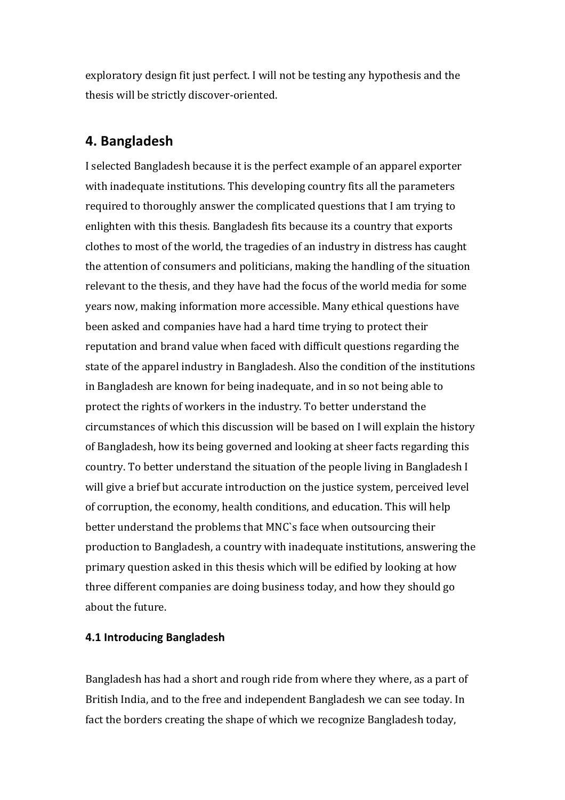exploratory design fit just perfect. I will not be testing any hypothesis and the thesis will be strictly discover-oriented.

## **4. Bangladesh**

I selected Bangladesh because it is the perfect example of an apparel exporter with inadequate institutions. This developing country fits all the parameters required to thoroughly answer the complicated questions that I am trying to enlighten with this thesis. Bangladesh fits because its a country that exports clothes to most of the world, the tragedies of an industry in distress has caught the attention of consumers and politicians, making the handling of the situation relevant to the thesis, and they have had the focus of the world media for some years now, making information more accessible. Many ethical questions have been asked and companies have had a hard time trying to protect their reputation and brand value when faced with difficult questions regarding the state of the apparel industry in Bangladesh. Also the condition of the institutions in Bangladesh are known for being inadequate, and in so not being able to protect the rights of workers in the industry. To better understand the circumstances of which this discussion will be based on I will explain the history of Bangladesh, how its being governed and looking at sheer facts regarding this country. To better understand the situation of the people living in Bangladesh I will give a brief but accurate introduction on the justice system, perceived level of corruption, the economy, health conditions, and education. This will help better understand the problems that MNC's face when outsourcing their production to Bangladesh, a country with inadequate institutions, answering the primary question asked in this thesis which will be edified by looking at how three different companies are doing business today, and how they should go about the future.

### **4.1 Introducing Bangladesh**

Bangladesh has had a short and rough ride from where they where, as a part of British India, and to the free and independent Bangladesh we can see today. In fact the borders creating the shape of which we recognize Bangladesh today,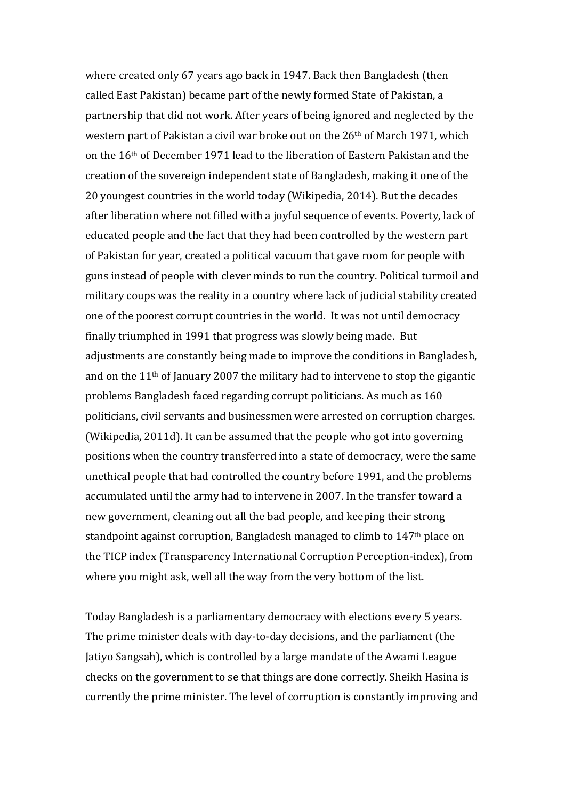where created only 67 years ago back in 1947. Back then Bangladesh (then called East Pakistan) became part of the newly formed State of Pakistan, a partnership that did not work. After years of being ignored and neglected by the western part of Pakistan a civil war broke out on the  $26<sup>th</sup>$  of March 1971, which on the 16<sup>th</sup> of December 1971 lead to the liberation of Eastern Pakistan and the creation of the sovereign independent state of Bangladesh, making it one of the 20 youngest countries in the world today (Wikipedia, 2014). But the decades after liberation where not filled with a joyful sequence of events. Poverty, lack of educated people and the fact that they had been controlled by the western part of Pakistan for year, created a political vacuum that gave room for people with guns instead of people with clever minds to run the country. Political turmoil and military coups was the reality in a country where lack of judicial stability created one of the poorest corrupt countries in the world. It was not until democracy finally triumphed in 1991 that progress was slowly being made. But adjustments are constantly being made to improve the conditions in Bangladesh, and on the  $11<sup>th</sup>$  of January 2007 the military had to intervene to stop the gigantic problems Bangladesh faced regarding corrupt politicians. As much as 160 politicians, civil servants and businessmen were arrested on corruption charges. (Wikipedia, 2011d). It can be assumed that the people who got into governing positions when the country transferred into a state of democracy, were the same unethical people that had controlled the country before 1991, and the problems accumulated until the army had to intervene in 2007. In the transfer toward a new government, cleaning out all the bad people, and keeping their strong standpoint against corruption, Bangladesh managed to climb to 147<sup>th</sup> place on the TICP index (Transparency International Corruption Perception-index), from where you might ask, well all the way from the very bottom of the list.

Today Bangladesh is a parliamentary democracy with elections every 5 years. The prime minister deals with day-to-day decisions, and the parliament (the Jatiyo Sangsah), which is controlled by a large mandate of the Awami League checks on the government to se that things are done correctly. Sheikh Hasina is currently the prime minister. The level of corruption is constantly improving and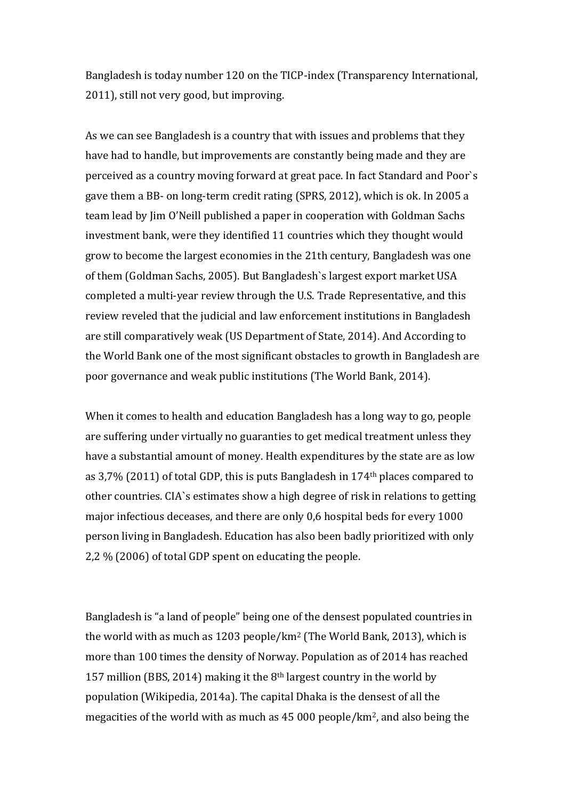Bangladesh is today number 120 on the TICP-index (Transparency International, 2011), still not very good, but improving.

As we can see Bangladesh is a country that with issues and problems that they have had to handle, but improvements are constantly being made and they are perceived as a country moving forward at great pace. In fact Standard and Poor's gave them a BB- on long-term credit rating (SPRS, 2012), which is ok. In 2005 a team lead by Jim O'Neill published a paper in cooperation with Goldman Sachs investment bank, were they identified 11 countries which they thought would grow to become the largest economies in the 21th century, Bangladesh was one of them (Goldman Sachs, 2005). But Bangladesh's largest export market USA completed a multi-year review through the U.S. Trade Representative, and this review reveled that the judicial and law enforcement institutions in Bangladesh are still comparatively weak (US Department of State, 2014). And According to the World Bank one of the most significant obstacles to growth in Bangladesh are poor governance and weak public institutions (The World Bank, 2014).

When it comes to health and education Bangladesh has a long way to go, people are suffering under virtually no guaranties to get medical treatment unless they have a substantial amount of money. Health expenditures by the state are as low as  $3,7\%$  (2011) of total GDP, this is puts Bangladesh in 174<sup>th</sup> places compared to other countries. CIA's estimates show a high degree of risk in relations to getting major infectious deceases, and there are only 0,6 hospital beds for every 1000 person living in Bangladesh. Education has also been badly prioritized with only 2,2  $%$  (2006) of total GDP spent on educating the people.

Bangladesh is "a land of people" being one of the densest populated countries in the world with as much as 1203 people/km<sup>2</sup> (The World Bank, 2013), which is more than 100 times the density of Norway. Population as of 2014 has reached 157 million (BBS, 2014) making it the  $8<sup>th</sup>$  largest country in the world by population (Wikipedia, 2014a). The capital Dhaka is the densest of all the megacities of the world with as much as  $45000$  people/km<sup>2</sup>, and also being the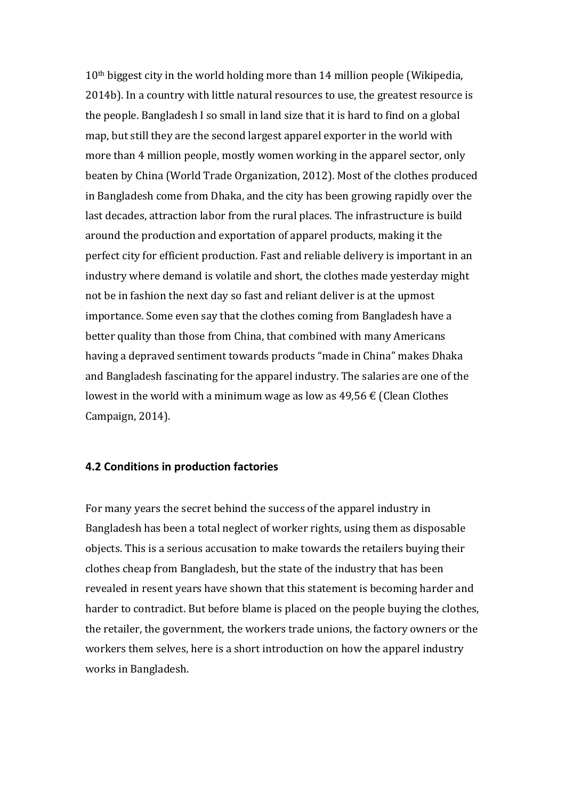$10<sup>th</sup>$  biggest city in the world holding more than 14 million people (Wikipedia, 2014b). In a country with little natural resources to use, the greatest resource is the people. Bangladesh I so small in land size that it is hard to find on a global map, but still they are the second largest apparel exporter in the world with more than 4 million people, mostly women working in the apparel sector, only beaten by China (World Trade Organization, 2012). Most of the clothes produced in Bangladesh come from Dhaka, and the city has been growing rapidly over the last decades, attraction labor from the rural places. The infrastructure is build around the production and exportation of apparel products, making it the perfect city for efficient production. Fast and reliable delivery is important in an industry where demand is volatile and short, the clothes made yesterday might not be in fashion the next day so fast and reliant deliver is at the upmost importance. Some even say that the clothes coming from Bangladesh have a better quality than those from China, that combined with many Americans having a depraved sentiment towards products "made in China" makes Dhaka and Bangladesh fascinating for the apparel industry. The salaries are one of the lowest in the world with a minimum wage as low as  $49,56 \notin$  (Clean Clothes Campaign, 2014).

#### **4.2 Conditions in production factories**

For many years the secret behind the success of the apparel industry in Bangladesh has been a total neglect of worker rights, using them as disposable objects. This is a serious accusation to make towards the retailers buying their clothes cheap from Bangladesh, but the state of the industry that has been revealed in resent years have shown that this statement is becoming harder and harder to contradict. But before blame is placed on the people buying the clothes, the retailer, the government, the workers trade unions, the factory owners or the workers them selves, here is a short introduction on how the apparel industry works in Bangladesh.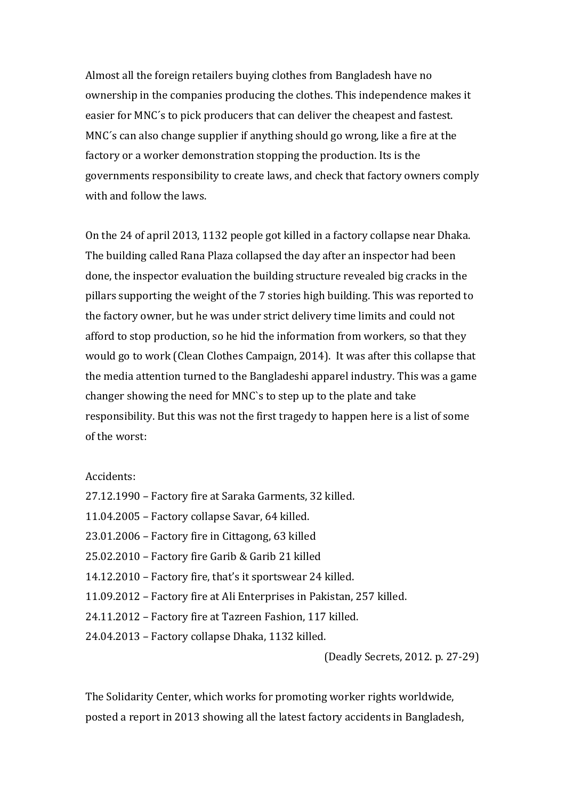Almost all the foreign retailers buying clothes from Bangladesh have no ownership in the companies producing the clothes. This independence makes it easier for MNC's to pick producers that can deliver the cheapest and fastest. MNC's can also change supplier if anything should go wrong, like a fire at the factory or a worker demonstration stopping the production. Its is the governments responsibility to create laws, and check that factory owners comply with and follow the laws.

On the 24 of april 2013, 1132 people got killed in a factory collapse near Dhaka. The building called Rana Plaza collapsed the day after an inspector had been done, the inspector evaluation the building structure revealed big cracks in the pillars supporting the weight of the 7 stories high building. This was reported to the factory owner, but he was under strict delivery time limits and could not afford to stop production, so he hid the information from workers, so that they would go to work (Clean Clothes Campaign, 2014). It was after this collapse that the media attention turned to the Bangladeshi apparel industry. This was a game changer showing the need for MNC's to step up to the plate and take responsibility. But this was not the first tragedy to happen here is a list of some of the worst:

#### Accidents:

27.12.1990 – Factory fire at Saraka Garments, 32 killed. 11.04.2005 - Factory collapse Savar, 64 killed.  $23.01.2006$  – Factory fire in Cittagong, 63 killed  $25.02.2010$  – Factory fire Garib & Garib 21 killed 14.12.2010 – Factory fire, that's it sportswear 24 killed. 11.09.2012 - Factory fire at Ali Enterprises in Pakistan, 257 killed. 24.11.2012 - Factory fire at Tazreen Fashion, 117 killed. 24.04.2013 - Factory collapse Dhaka, 1132 killed.

(Deadly Secrets, 2012. p. 27-29)

The Solidarity Center, which works for promoting worker rights worldwide, posted a report in 2013 showing all the latest factory accidents in Bangladesh,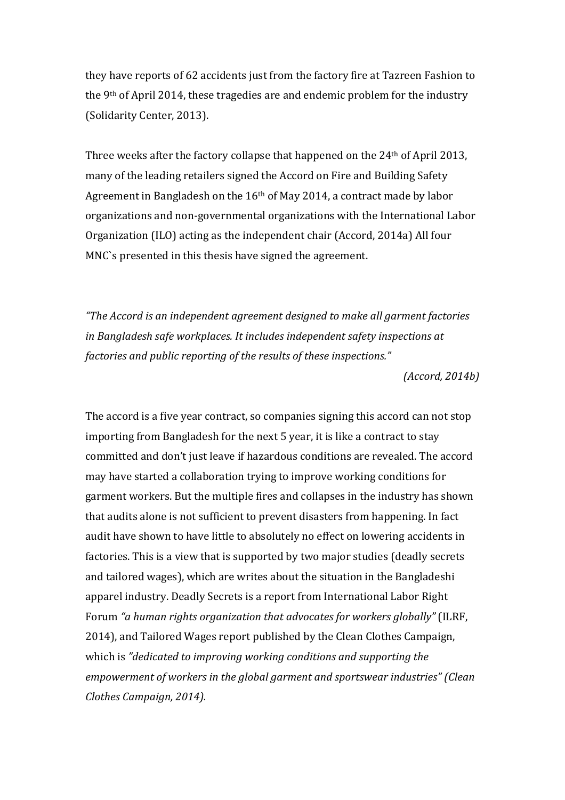they have reports of 62 accidents just from the factory fire at Tazreen Fashion to the  $9<sup>th</sup>$  of April 2014, these tragedies are and endemic problem for the industry (Solidarity Center, 2013).

Three weeks after the factory collapse that happened on the  $24<sup>th</sup>$  of April 2013, many of the leading retailers signed the Accord on Fire and Building Safety Agreement in Bangladesh on the  $16<sup>th</sup>$  of May 2014, a contract made by labor organizations and non-governmental organizations with the International Labor Organization (ILO) acting as the independent chair (Accord, 2014a) All four MNC's presented in this thesis have signed the agreement.

*"The Accord is an independent agreement designed to make all garment factories in Bangladesh safe workplaces. It includes independent safety inspections at factories and public reporting of the results of these inspections."* 

*(Accord, 2014b)*

The accord is a five year contract, so companies signing this accord can not stop importing from Bangladesh for the next 5 year, it is like a contract to stay committed and don't just leave if hazardous conditions are revealed. The accord may have started a collaboration trying to improve working conditions for garment workers. But the multiple fires and collapses in the industry has shown that audits alone is not sufficient to prevent disasters from happening. In fact audit have shown to have little to absolutely no effect on lowering accidents in factories. This is a view that is supported by two major studies (deadly secrets and tailored wages), which are writes about the situation in the Bangladeshi apparel industry. Deadly Secrets is a report from International Labor Right Forum "a human rights organization that advocates for workers globally" (ILRF, 2014), and Tailored Wages report published by the Clean Clothes Campaign, which is "dedicated to improving working conditions and supporting the *empowerment of workers in the global garment and sportswear industries"* (Clean *Clothes Campaign, 2014).*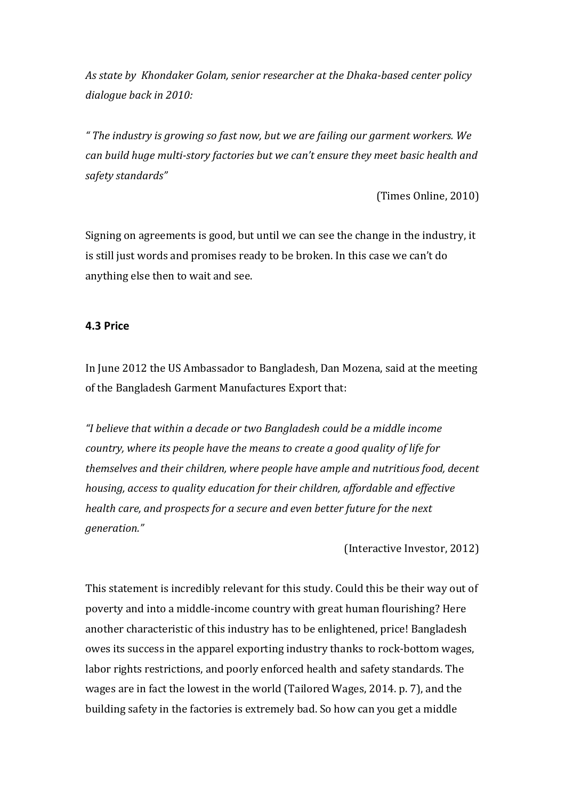As state by Khondaker Golam, senior researcher at the Dhaka-based center policy dialogue back in 2010:

" The industry is growing so fast now, but we are failing our garment workers. We *can build huge multi-story factories but we can't ensure they meet basic health and safety standards"*

(Times Online, 2010)

Signing on agreements is good, but until we can see the change in the industry, it is still just words and promises ready to be broken. In this case we can't do anything else then to wait and see.

#### **4.3 Price**

In June 2012 the US Ambassador to Bangladesh, Dan Mozena, said at the meeting of the Bangladesh Garment Manufactures Export that:

"I believe that within a decade or two Bangladesh could be a middle income *country, where its people have the means to create a good quality of life for themselves and their children, where people have ample and nutritious food, decent housing, access to quality education for their children, affordable and effective health care, and prospects for a secure and even better future for the next generation."*

(Interactive Investor, 2012)

This statement is incredibly relevant for this study. Could this be their way out of poverty and into a middle-income country with great human flourishing? Here another characteristic of this industry has to be enlightened, price! Bangladesh owes its success in the apparel exporting industry thanks to rock-bottom wages, labor rights restrictions, and poorly enforced health and safety standards. The wages are in fact the lowest in the world (Tailored Wages, 2014. p. 7), and the building safety in the factories is extremely bad. So how can you get a middle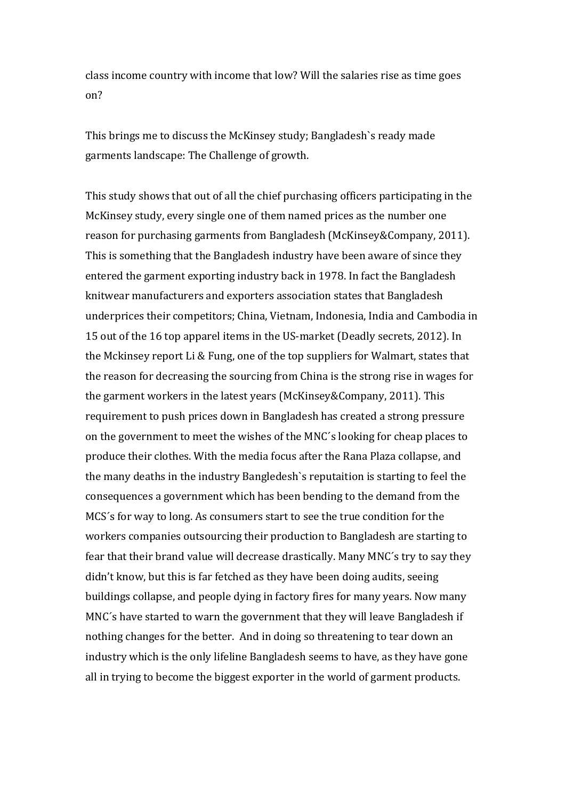class income country with income that low? Will the salaries rise as time goes on?

This brings me to discuss the McKinsey study; Bangladesh's ready made garments landscape: The Challenge of growth.

This study shows that out of all the chief purchasing officers participating in the McKinsey study, every single one of them named prices as the number one reason for purchasing garments from Bangladesh (McKinsey&Company, 2011). This is something that the Bangladesh industry have been aware of since they entered the garment exporting industry back in 1978. In fact the Bangladesh knitwear manufacturers and exporters association states that Bangladesh underprices their competitors; China, Vietnam, Indonesia, India and Cambodia in 15 out of the 16 top apparel items in the US-market (Deadly secrets, 2012). In the Mckinsey report Li & Fung, one of the top suppliers for Walmart, states that the reason for decreasing the sourcing from China is the strong rise in wages for the garment workers in the latest years (McKinsey&Company, 2011). This requirement to push prices down in Bangladesh has created a strong pressure on the government to meet the wishes of the MNC's looking for cheap places to produce their clothes. With the media focus after the Rana Plaza collapse, and the many deaths in the industry Bangledesh's reputaition is starting to feel the consequences a government which has been bending to the demand from the MCS's for way to long. As consumers start to see the true condition for the workers companies outsourcing their production to Bangladesh are starting to fear that their brand value will decrease drastically. Many MNC's try to say they didn't know, but this is far fetched as they have been doing audits, seeing buildings collapse, and people dying in factory fires for many years. Now many MNC's have started to warn the government that they will leave Bangladesh if nothing changes for the better. And in doing so threatening to tear down an industry which is the only lifeline Bangladesh seems to have, as they have gone all in trying to become the biggest exporter in the world of garment products.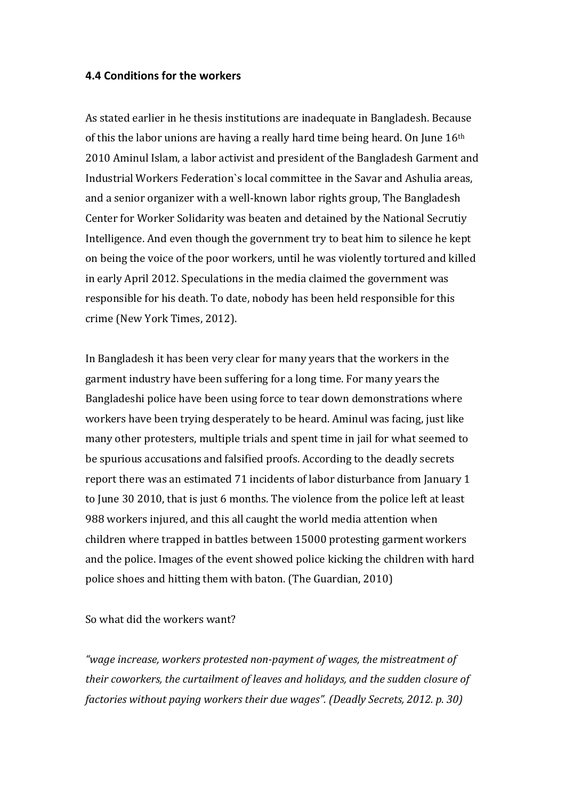#### **4.4 Conditions for the workers**

As stated earlier in he thesis institutions are inadequate in Bangladesh. Because of this the labor unions are having a really hard time being heard. On June  $16<sup>th</sup>$ 2010 Aminul Islam, a labor activist and president of the Bangladesh Garment and Industrial Workers Federation's local committee in the Savar and Ashulia areas, and a senior organizer with a well-known labor rights group, The Bangladesh Center for Worker Solidarity was beaten and detained by the National Secrutiy Intelligence. And even though the government try to beat him to silence he kept on being the voice of the poor workers, until he was violently tortured and killed in early April 2012. Speculations in the media claimed the government was responsible for his death. To date, nobody has been held responsible for this crime (New York Times, 2012).

In Bangladesh it has been very clear for many years that the workers in the garment industry have been suffering for a long time. For many years the Bangladeshi police have been using force to tear down demonstrations where workers have been trying desperately to be heard. Aminul was facing, just like many other protesters, multiple trials and spent time in jail for what seemed to be spurious accusations and falsified proofs. According to the deadly secrets report there was an estimated 71 incidents of labor disturbance from January 1 to June 30 2010, that is just 6 months. The violence from the police left at least 988 workers injured, and this all caught the world media attention when children where trapped in battles between 15000 protesting garment workers and the police. Images of the event showed police kicking the children with hard police shoes and hitting them with baton. (The Guardian, 2010)

So what did the workers want?

"wage increase, workers protested non-payment of wages, the mistreatment of *their coworkers, the curtailment of leaves and holidays, and the sudden closure of factories without paying workers their due wages". (Deadly Secrets, 2012. p. 30)*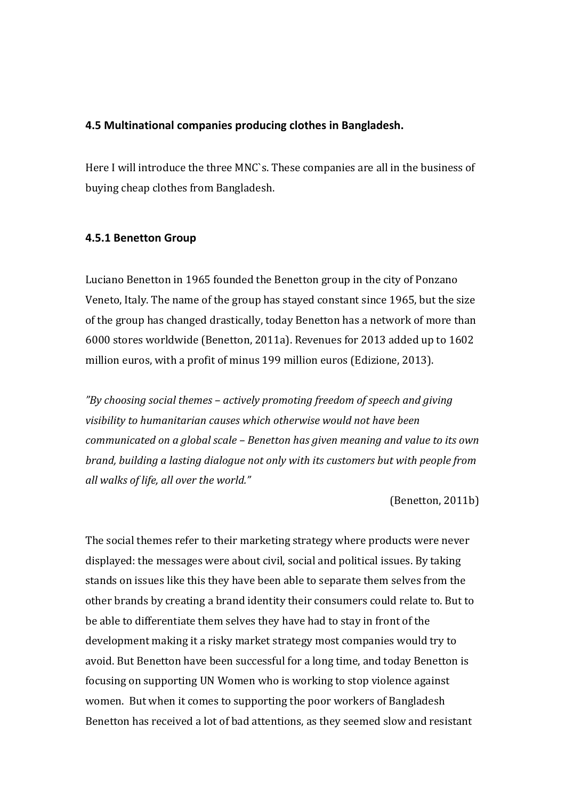#### **4.5 Multinational companies producing clothes in Bangladesh.**

Here I will introduce the three MNC's. These companies are all in the business of buying cheap clothes from Bangladesh.

#### **4.5.1 Benetton Group**

Luciano Benetton in 1965 founded the Benetton group in the city of Ponzano Veneto, Italy. The name of the group has stayed constant since 1965, but the size of the group has changed drastically, today Benetton has a network of more than 6000 stores worldwide (Benetton, 2011a). Revenues for 2013 added up to 1602 million euros, with a profit of minus 199 million euros (Edizione, 2013).

*"By choosing social themes – actively promoting freedom of speech and giving*  visibility to humanitarian causes which otherwise would not have been *communicated on a global scale - Benetton has given meaning and value to its own brand, building a lasting dialogue not only with its customers but with people from all walks of life, all over the world."*

(Benetton, 2011b)

The social themes refer to their marketing strategy where products were never displayed: the messages were about civil, social and political issues. By taking stands on issues like this they have been able to separate them selves from the other brands by creating a brand identity their consumers could relate to. But to be able to differentiate them selves they have had to stay in front of the development making it a risky market strategy most companies would try to avoid. But Benetton have been successful for a long time, and today Benetton is focusing on supporting UN Women who is working to stop violence against women. But when it comes to supporting the poor workers of Bangladesh Benetton has received a lot of bad attentions, as they seemed slow and resistant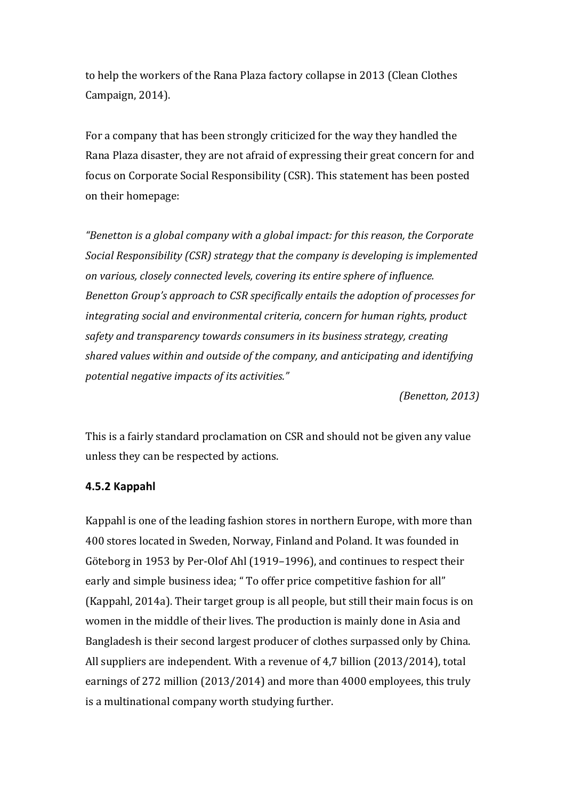to help the workers of the Rana Plaza factory collapse in 2013 (Clean Clothes Campaign, 2014).

For a company that has been strongly criticized for the way they handled the Rana Plaza disaster, they are not afraid of expressing their great concern for and focus on Corporate Social Responsibility (CSR). This statement has been posted on their homepage:

*"Benetton is a global company with a global impact: for this reason, the Corporate Social Responsibility (CSR) strategy that the company is developing is implemented on various, closely connected levels, covering its entire sphere of influence. Benetton Group's approach to CSR specifically entails the adoption of processes for integrating social and environmental criteria, concern for human rights, product* safety and transparency towards consumers in its business strategy, creating *shared values within and outside of the company, and anticipating and identifying potential negative impacts of its activities."*

*(Benetton, 2013)*

This is a fairly standard proclamation on CSR and should not be given any value unless they can be respected by actions.

### **4.5.2 Kappahl**

Kappahl is one of the leading fashion stores in northern Europe, with more than 400 stores located in Sweden, Norway, Finland and Poland. It was founded in Göteborg in 1953 by Per-Olof Ahl (1919–1996), and continues to respect their early and simple business idea; " To offer price competitive fashion for all" (Kappahl, 2014a). Their target group is all people, but still their main focus is on women in the middle of their lives. The production is mainly done in Asia and Bangladesh is their second largest producer of clothes surpassed only by China. All suppliers are independent. With a revenue of 4,7 billion  $(2013/2014)$ , total earnings of 272 million (2013/2014) and more than 4000 employees, this truly is a multinational company worth studying further.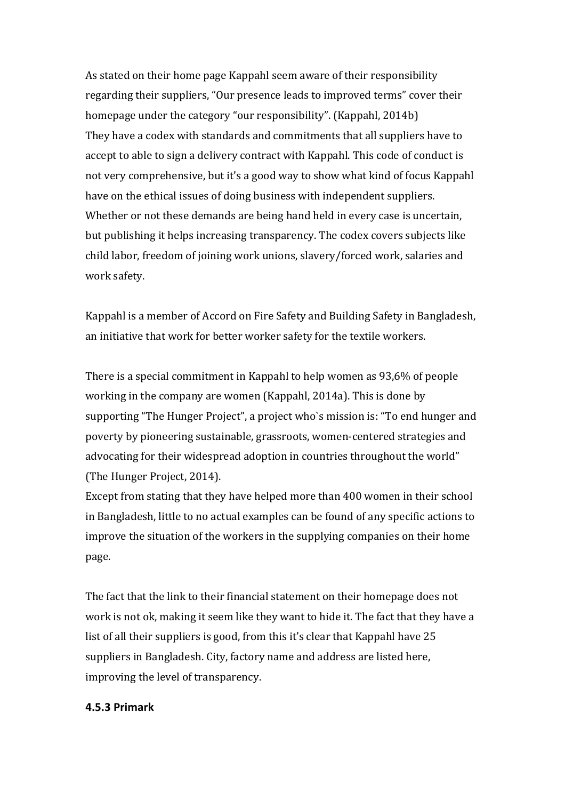As stated on their home page Kappahl seem aware of their responsibility regarding their suppliers, "Our presence leads to improved terms" cover their homepage under the category "our responsibility". (Kappahl, 2014b) They have a codex with standards and commitments that all suppliers have to accept to able to sign a delivery contract with Kappahl. This code of conduct is not very comprehensive, but it's a good way to show what kind of focus Kappahl have on the ethical issues of doing business with independent suppliers. Whether or not these demands are being hand held in every case is uncertain, but publishing it helps increasing transparency. The codex covers subjects like child labor, freedom of joining work unions, slavery/forced work, salaries and work safety.

Kappahl is a member of Accord on Fire Safety and Building Safety in Bangladesh, an initiative that work for better worker safety for the textile workers.

There is a special commitment in Kappahl to help women as 93,6% of people working in the company are women (Kappahl, 2014a). This is done by supporting "The Hunger Project", a project who's mission is: "To end hunger and poverty by pioneering sustainable, grassroots, women-centered strategies and advocating for their widespread adoption in countries throughout the world" (The Hunger Project, 2014).

Except from stating that they have helped more than 400 women in their school in Bangladesh, little to no actual examples can be found of any specific actions to improve the situation of the workers in the supplying companies on their home page.

The fact that the link to their financial statement on their homepage does not work is not ok, making it seem like they want to hide it. The fact that they have a list of all their suppliers is good, from this it's clear that Kappahl have  $25$ suppliers in Bangladesh. City, factory name and address are listed here, improving the level of transparency.

#### **4.5.3 Primark**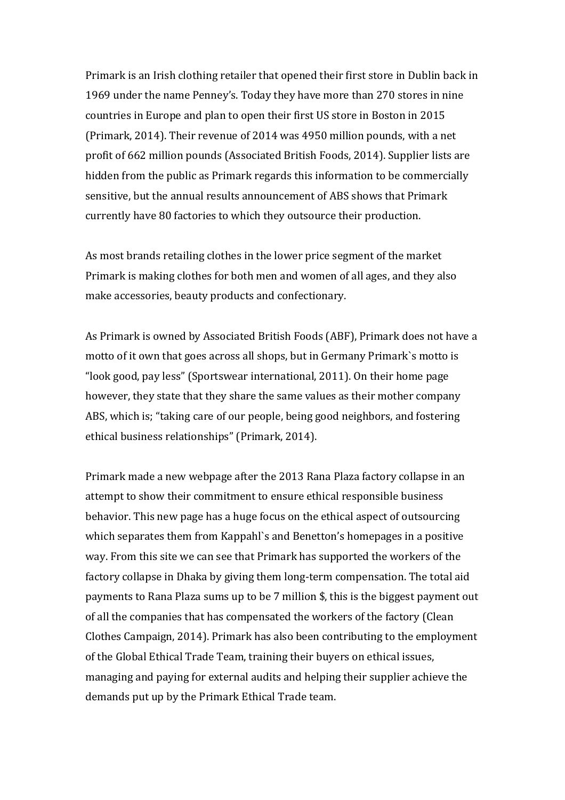Primark is an Irish clothing retailer that opened their first store in Dublin back in 1969 under the name Penney's. Today they have more than 270 stores in nine countries in Europe and plan to open their first US store in Boston in 2015 (Primark, 2014). Their revenue of 2014 was 4950 million pounds, with a net profit of 662 million pounds (Associated British Foods, 2014). Supplier lists are hidden from the public as Primark regards this information to be commercially sensitive, but the annual results announcement of ABS shows that Primark currently have 80 factories to which they outsource their production.

As most brands retailing clothes in the lower price segment of the market Primark is making clothes for both men and women of all ages, and they also make accessories, beauty products and confectionary.

As Primark is owned by Associated British Foods (ABF), Primark does not have a motto of it own that goes across all shops, but in Germany Primark's motto is "look good, pay less" (Sportswear international, 2011). On their home page however, they state that they share the same values as their mother company ABS, which is; "taking care of our people, being good neighbors, and fostering ethical business relationships" (Primark, 2014).

Primark made a new webpage after the 2013 Rana Plaza factory collapse in an attempt to show their commitment to ensure ethical responsible business behavior. This new page has a huge focus on the ethical aspect of outsourcing which separates them from Kappahl's and Benetton's homepages in a positive way. From this site we can see that Primark has supported the workers of the factory collapse in Dhaka by giving them long-term compensation. The total aid payments to Rana Plaza sums up to be  $7$  million  $\frac{1}{3}$ , this is the biggest payment out of all the companies that has compensated the workers of the factory (Clean Clothes Campaign, 2014). Primark has also been contributing to the employment of the Global Ethical Trade Team, training their buyers on ethical issues, managing and paying for external audits and helping their supplier achieve the demands put up by the Primark Ethical Trade team.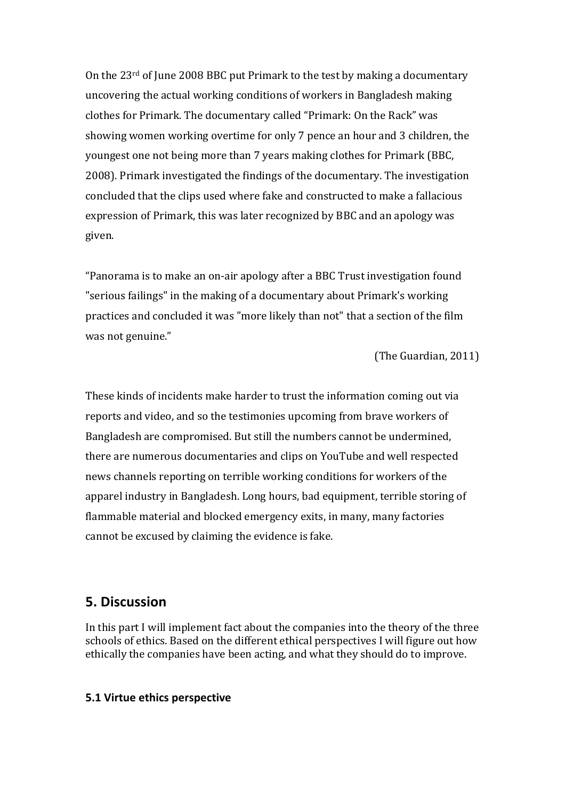On the  $23<sup>rd</sup>$  of June 2008 BBC put Primark to the test by making a documentary uncovering the actual working conditions of workers in Bangladesh making clothes for Primark. The documentary called "Primark: On the Rack" was showing women working overtime for only 7 pence an hour and 3 children, the youngest one not being more than 7 years making clothes for Primark (BBC, 2008). Primark investigated the findings of the documentary. The investigation concluded that the clips used where fake and constructed to make a fallacious expression of Primark, this was later recognized by BBC and an apology was given. 

"Panorama is to make an on-air apology after a BBC Trust investigation found "serious failings" in the making of a documentary about Primark's working practices and concluded it was "more likely than not" that a section of the film was not genuine."

(The Guardian, 2011)

These kinds of incidents make harder to trust the information coming out via reports and video, and so the testimonies upcoming from brave workers of Bangladesh are compromised. But still the numbers cannot be undermined, there are numerous documentaries and clips on YouTube and well respected news channels reporting on terrible working conditions for workers of the apparel industry in Bangladesh. Long hours, bad equipment, terrible storing of flammable material and blocked emergency exits, in many, many factories cannot be excused by claiming the evidence is fake.

### **5. Discussion**

In this part I will implement fact about the companies into the theory of the three schools of ethics. Based on the different ethical perspectives I will figure out how ethically the companies have been acting, and what they should do to improve.

#### **5.1 Virtue ethics perspective**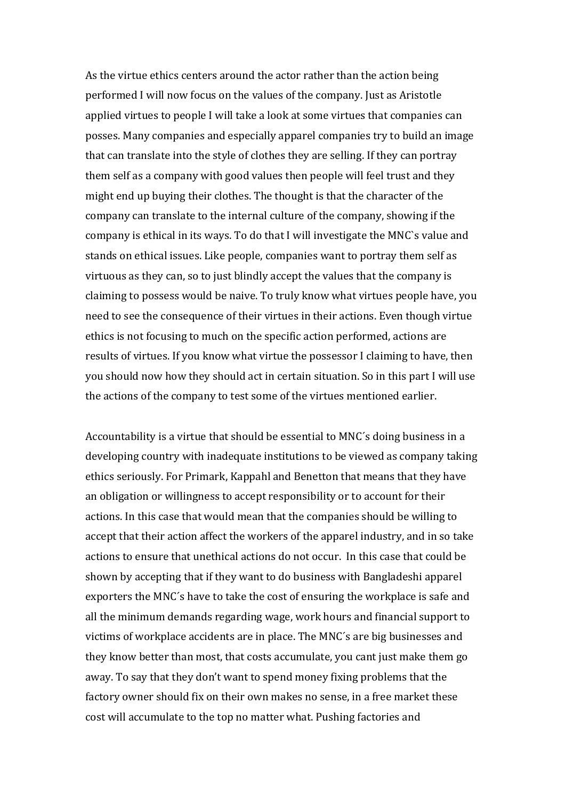As the virtue ethics centers around the actor rather than the action being performed I will now focus on the values of the company. Just as Aristotle applied virtues to people I will take a look at some virtues that companies can posses. Many companies and especially apparel companies try to build an image that can translate into the style of clothes they are selling. If they can portray them self as a company with good values then people will feel trust and they might end up buying their clothes. The thought is that the character of the company can translate to the internal culture of the company, showing if the company is ethical in its ways. To do that I will investigate the MNC's value and stands on ethical issues. Like people, companies want to portray them self as virtuous as they can, so to just blindly accept the values that the company is claiming to possess would be naive. To truly know what virtues people have, you need to see the consequence of their virtues in their actions. Even though virtue ethics is not focusing to much on the specific action performed, actions are results of virtues. If you know what virtue the possessor I claiming to have, then you should now how they should act in certain situation. So in this part I will use the actions of the company to test some of the virtues mentioned earlier.

Accountability is a virtue that should be essential to MNC's doing business in a developing country with inadequate institutions to be viewed as company taking ethics seriously. For Primark, Kappahl and Benetton that means that they have an obligation or willingness to accept responsibility or to account for their actions. In this case that would mean that the companies should be willing to accept that their action affect the workers of the apparel industry, and in so take actions to ensure that unethical actions do not occur. In this case that could be shown by accepting that if they want to do business with Bangladeshi apparel exporters the MNC's have to take the cost of ensuring the workplace is safe and all the minimum demands regarding wage, work hours and financial support to victims of workplace accidents are in place. The MNC's are big businesses and they know better than most, that costs accumulate, you cant just make them go away. To say that they don't want to spend money fixing problems that the factory owner should fix on their own makes no sense, in a free market these cost will accumulate to the top no matter what. Pushing factories and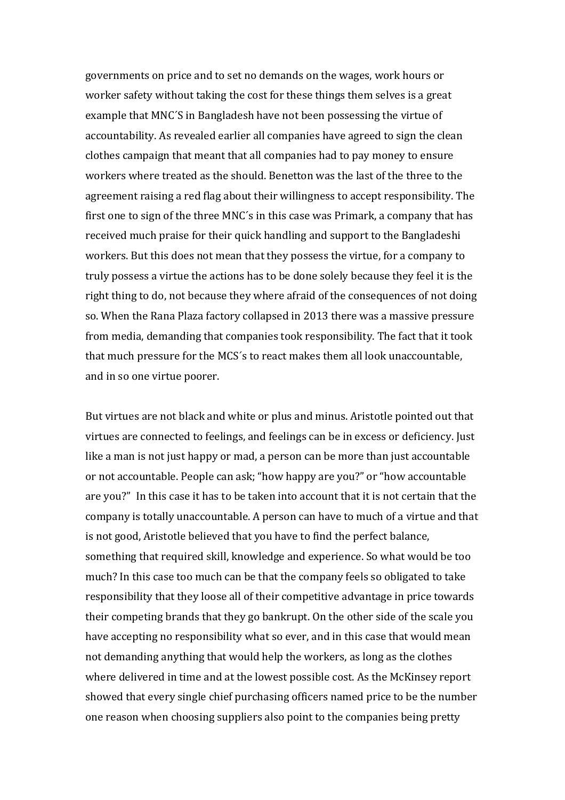governments on price and to set no demands on the wages, work hours or worker safety without taking the cost for these things them selves is a great example that MNC'S in Bangladesh have not been possessing the virtue of accountability. As revealed earlier all companies have agreed to sign the clean clothes campaign that meant that all companies had to pay money to ensure workers where treated as the should. Benetton was the last of the three to the agreement raising a red flag about their willingness to accept responsibility. The first one to sign of the three MNC's in this case was Primark, a company that has received much praise for their quick handling and support to the Bangladeshi workers. But this does not mean that they possess the virtue, for a company to truly possess a virtue the actions has to be done solely because they feel it is the right thing to do, not because they where afraid of the consequences of not doing so. When the Rana Plaza factory collapsed in 2013 there was a massive pressure from media, demanding that companies took responsibility. The fact that it took that much pressure for the MCS's to react makes them all look unaccountable, and in so one virtue poorer.

But virtues are not black and white or plus and minus. Aristotle pointed out that virtues are connected to feelings, and feelings can be in excess or deficiency. Just like a man is not just happy or mad, a person can be more than just accountable or not accountable. People can ask; "how happy are you?" or "how accountable are you?" In this case it has to be taken into account that it is not certain that the company is totally unaccountable. A person can have to much of a virtue and that is not good, Aristotle believed that you have to find the perfect balance, something that required skill, knowledge and experience. So what would be too much? In this case too much can be that the company feels so obligated to take responsibility that they loose all of their competitive advantage in price towards their competing brands that they go bankrupt. On the other side of the scale you have accepting no responsibility what so ever, and in this case that would mean not demanding anything that would help the workers, as long as the clothes where delivered in time and at the lowest possible cost. As the McKinsey report showed that every single chief purchasing officers named price to be the number one reason when choosing suppliers also point to the companies being pretty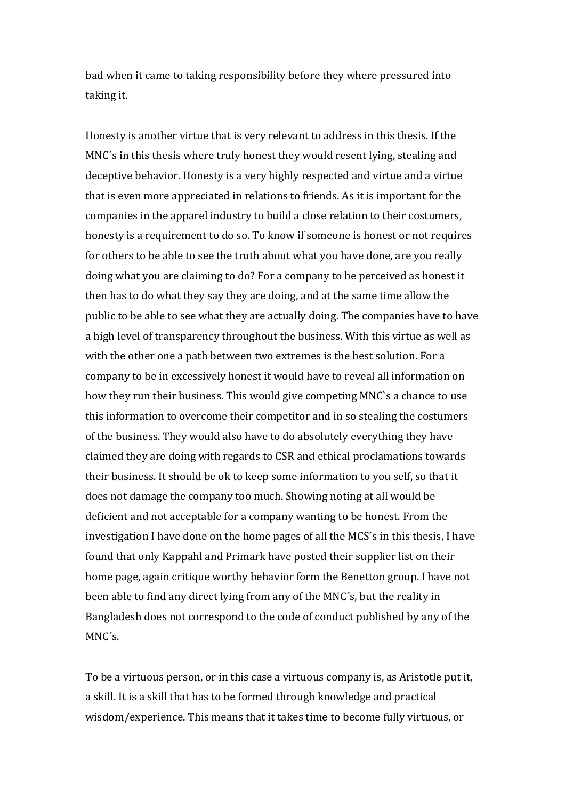bad when it came to taking responsibility before they where pressured into taking it.

Honesty is another virtue that is very relevant to address in this thesis. If the MNC's in this thesis where truly honest they would resent lying, stealing and deceptive behavior. Honesty is a very highly respected and virtue and a virtue that is even more appreciated in relations to friends. As it is important for the companies in the apparel industry to build a close relation to their costumers, honesty is a requirement to do so. To know if someone is honest or not requires for others to be able to see the truth about what you have done, are you really doing what you are claiming to do? For a company to be perceived as honest it then has to do what they say they are doing, and at the same time allow the public to be able to see what they are actually doing. The companies have to have a high level of transparency throughout the business. With this virtue as well as with the other one a path between two extremes is the best solution. For a company to be in excessively honest it would have to reveal all information on how they run their business. This would give competing MNC's a chance to use this information to overcome their competitor and in so stealing the costumers of the business. They would also have to do absolutely everything they have claimed they are doing with regards to CSR and ethical proclamations towards their business. It should be ok to keep some information to you self, so that it does not damage the company too much. Showing noting at all would be deficient and not acceptable for a company wanting to be honest. From the investigation I have done on the home pages of all the MCS's in this thesis, I have found that only Kappahl and Primark have posted their supplier list on their home page, again critique worthy behavior form the Benetton group. I have not been able to find any direct lying from any of the MNC's, but the reality in Bangladesh does not correspond to the code of conduct published by any of the MNC´s.

To be a virtuous person, or in this case a virtuous company is, as Aristotle put it, a skill. It is a skill that has to be formed through knowledge and practical wisdom/experience. This means that it takes time to become fully virtuous, or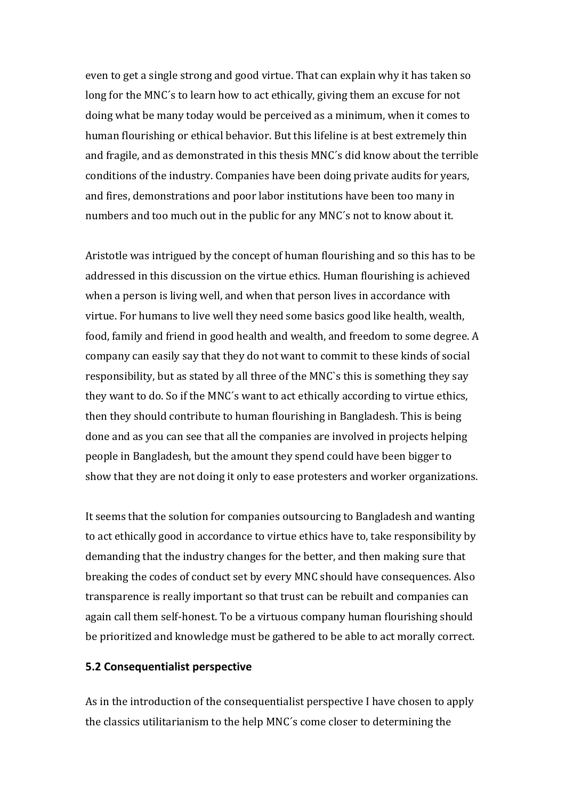even to get a single strong and good virtue. That can explain why it has taken so long for the MNC's to learn how to act ethically, giving them an excuse for not doing what be many today would be perceived as a minimum, when it comes to human flourishing or ethical behavior. But this lifeline is at best extremely thin and fragile, and as demonstrated in this thesis MNC's did know about the terrible conditions of the industry. Companies have been doing private audits for years, and fires, demonstrations and poor labor institutions have been too many in numbers and too much out in the public for any MNC's not to know about it.

Aristotle was intrigued by the concept of human flourishing and so this has to be addressed in this discussion on the virtue ethics. Human flourishing is achieved when a person is living well, and when that person lives in accordance with virtue. For humans to live well they need some basics good like health, wealth, food, family and friend in good health and wealth, and freedom to some degree. A company can easily say that they do not want to commit to these kinds of social responsibility, but as stated by all three of the MNC's this is something they say they want to do. So if the MNC's want to act ethically according to virtue ethics, then they should contribute to human flourishing in Bangladesh. This is being done and as you can see that all the companies are involved in projects helping people in Bangladesh, but the amount they spend could have been bigger to show that they are not doing it only to ease protesters and worker organizations.

It seems that the solution for companies outsourcing to Bangladesh and wanting to act ethically good in accordance to virtue ethics have to, take responsibility by demanding that the industry changes for the better, and then making sure that breaking the codes of conduct set by every MNC should have consequences. Also transparence is really important so that trust can be rebuilt and companies can again call them self-honest. To be a virtuous company human flourishing should be prioritized and knowledge must be gathered to be able to act morally correct.

#### **5.2 Consequentialist perspective**

As in the introduction of the consequentialist perspective I have chosen to apply the classics utilitarianism to the help MNC's come closer to determining the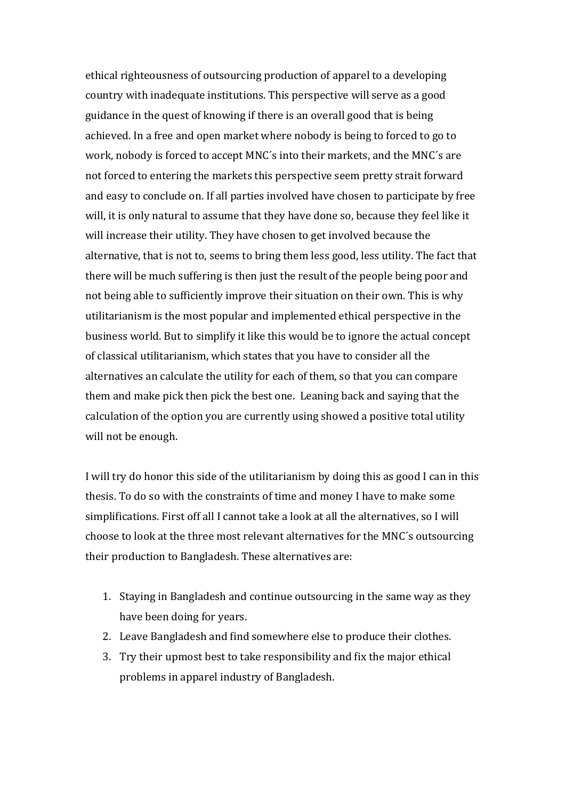ethical righteousness of outsourcing production of apparel to a developing country with inadequate institutions. This perspective will serve as a good guidance in the quest of knowing if there is an overall good that is being achieved. In a free and open market where nobody is being to forced to go to work, nobody is forced to accept MNC's into their markets, and the MNC's are not forced to entering the markets this perspective seem pretty strait forward and easy to conclude on. If all parties involved have chosen to participate by free will, it is only natural to assume that they have done so, because they feel like it will increase their utility. They have chosen to get involved because the alternative, that is not to, seems to bring them less good, less utility. The fact that there will be much suffering is then just the result of the people being poor and not being able to sufficiently improve their situation on their own. This is why utilitarianism is the most popular and implemented ethical perspective in the business world. But to simplify it like this would be to ignore the actual concept of classical utilitarianism, which states that you have to consider all the alternatives an calculate the utility for each of them, so that you can compare them and make pick then pick the best one. Leaning back and saying that the calculation of the option you are currently using showed a positive total utility will not be enough.

I will try do honor this side of the utilitarianism by doing this as good I can in this thesis. To do so with the constraints of time and money I have to make some simplifications. First off all I cannot take a look at all the alternatives, so I will choose to look at the three most relevant alternatives for the MNC's outsourcing their production to Bangladesh. These alternatives are:

- 1. Staying in Bangladesh and continue outsourcing in the same way as they have been doing for years.
- 2. Leave Bangladesh and find somewhere else to produce their clothes.
- 3. Try their upmost best to take responsibility and fix the major ethical problems in apparel industry of Bangladesh.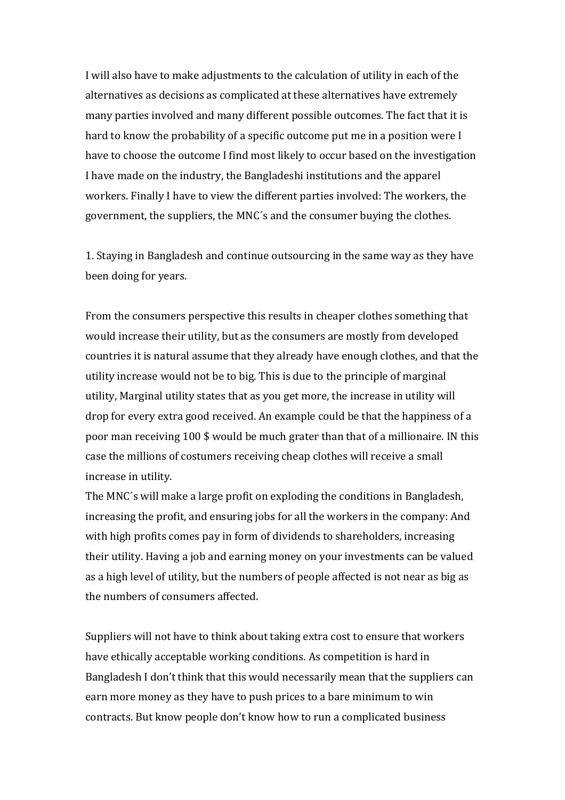I will also have to make adjustments to the calculation of utility in each of the alternatives as decisions as complicated at these alternatives have extremely many parties involved and many different possible outcomes. The fact that it is hard to know the probability of a specific outcome put me in a position were I have to choose the outcome I find most likely to occur based on the investigation I have made on the industry, the Bangladeshi institutions and the apparel workers. Finally I have to view the different parties involved: The workers, the government, the suppliers, the MNC's and the consumer buying the clothes.

1. Staying in Bangladesh and continue outsourcing in the same way as they have been doing for years.

From the consumers perspective this results in cheaper clothes something that would increase their utility, but as the consumers are mostly from developed countries it is natural assume that they already have enough clothes, and that the utility increase would not be to big. This is due to the principle of marginal utility, Marginal utility states that as you get more, the increase in utility will drop for every extra good received. An example could be that the happiness of a poor man receiving 100 \$ would be much grater than that of a millionaire. IN this case the millions of costumers receiving cheap clothes will receive a small increase in utility.

The MNC's will make a large profit on exploding the conditions in Bangladesh, increasing the profit, and ensuring jobs for all the workers in the company: And with high profits comes pay in form of dividends to shareholders, increasing their utility. Having a job and earning money on your investments can be valued as a high level of utility, but the numbers of people affected is not near as big as the numbers of consumers affected.

Suppliers will not have to think about taking extra cost to ensure that workers have ethically acceptable working conditions. As competition is hard in Bangladesh I don't think that this would necessarily mean that the suppliers can earn more money as they have to push prices to a bare minimum to win contracts. But know people don't know how to run a complicated business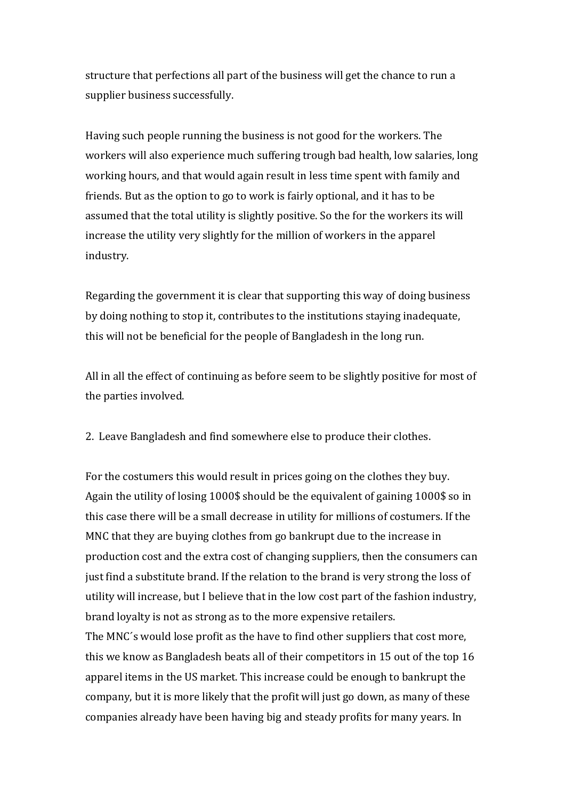structure that perfections all part of the business will get the chance to run a supplier business successfully.

Having such people running the business is not good for the workers. The workers will also experience much suffering trough bad health, low salaries, long working hours, and that would again result in less time spent with family and friends. But as the option to go to work is fairly optional, and it has to be assumed that the total utility is slightly positive. So the for the workers its will increase the utility very slightly for the million of workers in the apparel industry.

Regarding the government it is clear that supporting this way of doing business by doing nothing to stop it, contributes to the institutions staying inadequate, this will not be beneficial for the people of Bangladesh in the long run.

All in all the effect of continuing as before seem to be slightly positive for most of the parties involved.

2. Leave Bangladesh and find somewhere else to produce their clothes.

For the costumers this would result in prices going on the clothes they buy. Again the utility of losing 1000\$ should be the equivalent of gaining 1000\$ so in this case there will be a small decrease in utility for millions of costumers. If the MNC that they are buying clothes from go bankrupt due to the increase in production cost and the extra cost of changing suppliers, then the consumers can just find a substitute brand. If the relation to the brand is very strong the loss of utility will increase, but I believe that in the low cost part of the fashion industry, brand loyalty is not as strong as to the more expensive retailers.

The MNC's would lose profit as the have to find other suppliers that cost more, this we know as Bangladesh beats all of their competitors in 15 out of the top 16 apparel items in the US market. This increase could be enough to bankrupt the company, but it is more likely that the profit will just go down, as many of these companies already have been having big and steady profits for many years. In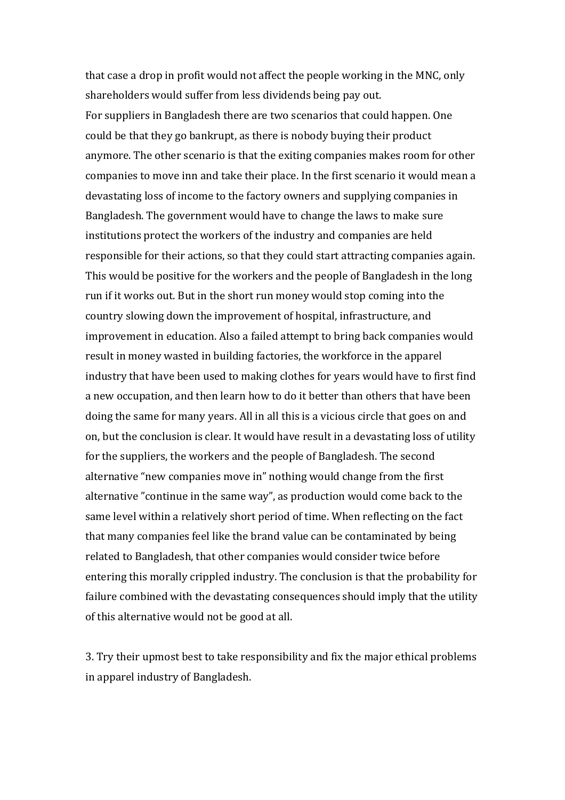that case a drop in profit would not affect the people working in the MNC, only shareholders would suffer from less dividends being pay out.

For suppliers in Bangladesh there are two scenarios that could happen. One could be that they go bankrupt, as there is nobody buying their product anymore. The other scenario is that the exiting companies makes room for other companies to move inn and take their place. In the first scenario it would mean a devastating loss of income to the factory owners and supplying companies in Bangladesh. The government would have to change the laws to make sure institutions protect the workers of the industry and companies are held responsible for their actions, so that they could start attracting companies again. This would be positive for the workers and the people of Bangladesh in the long run if it works out. But in the short run money would stop coming into the country slowing down the improvement of hospital, infrastructure, and improvement in education. Also a failed attempt to bring back companies would result in money wasted in building factories, the workforce in the apparel industry that have been used to making clothes for years would have to first find a new occupation, and then learn how to do it better than others that have been doing the same for many years. All in all this is a vicious circle that goes on and on, but the conclusion is clear. It would have result in a devastating loss of utility for the suppliers, the workers and the people of Bangladesh. The second alternative "new companies move in" nothing would change from the first alternative "continue in the same way", as production would come back to the same level within a relatively short period of time. When reflecting on the fact that many companies feel like the brand value can be contaminated by being related to Bangladesh, that other companies would consider twice before entering this morally crippled industry. The conclusion is that the probability for failure combined with the devastating consequences should imply that the utility of this alternative would not be good at all.

3. Try their upmost best to take responsibility and fix the major ethical problems in apparel industry of Bangladesh.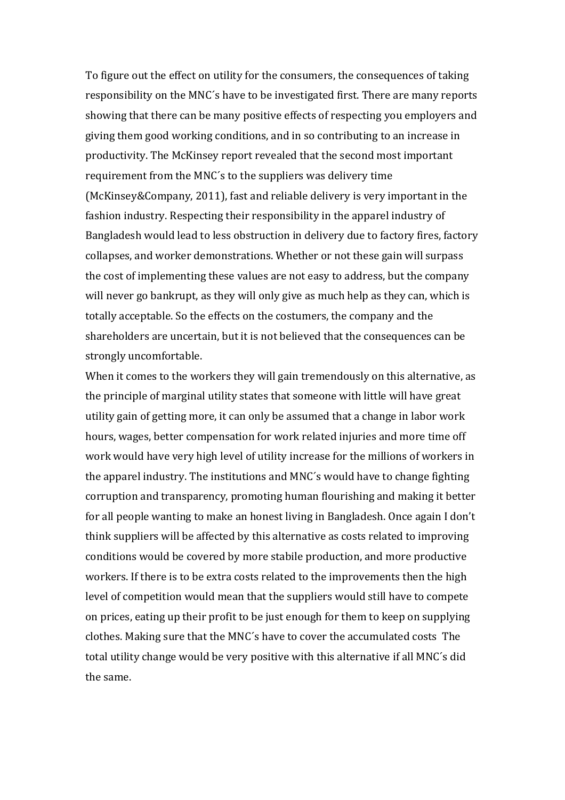To figure out the effect on utility for the consumers, the consequences of taking responsibility on the MNC's have to be investigated first. There are many reports showing that there can be many positive effects of respecting you employers and giving them good working conditions, and in so contributing to an increase in productivity. The McKinsey report revealed that the second most important requirement from the MNC's to the suppliers was delivery time (McKinsey&Company, 2011), fast and reliable delivery is very important in the fashion industry. Respecting their responsibility in the apparel industry of Bangladesh would lead to less obstruction in delivery due to factory fires, factory collapses, and worker demonstrations. Whether or not these gain will surpass the cost of implementing these values are not easy to address, but the company will never go bankrupt, as they will only give as much help as they can, which is totally acceptable. So the effects on the costumers, the company and the shareholders are uncertain, but it is not believed that the consequences can be strongly uncomfortable.

When it comes to the workers they will gain tremendously on this alternative, as the principle of marginal utility states that someone with little will have great utility gain of getting more, it can only be assumed that a change in labor work hours, wages, better compensation for work related injuries and more time off work would have very high level of utility increase for the millions of workers in the apparel industry. The institutions and MNC's would have to change fighting corruption and transparency, promoting human flourishing and making it better for all people wanting to make an honest living in Bangladesh. Once again I don't think suppliers will be affected by this alternative as costs related to improving conditions would be covered by more stabile production, and more productive workers. If there is to be extra costs related to the improvements then the high level of competition would mean that the suppliers would still have to compete on prices, eating up their profit to be just enough for them to keep on supplying clothes. Making sure that the MNC's have to cover the accumulated costs The total utility change would be very positive with this alternative if all MNC's did the same.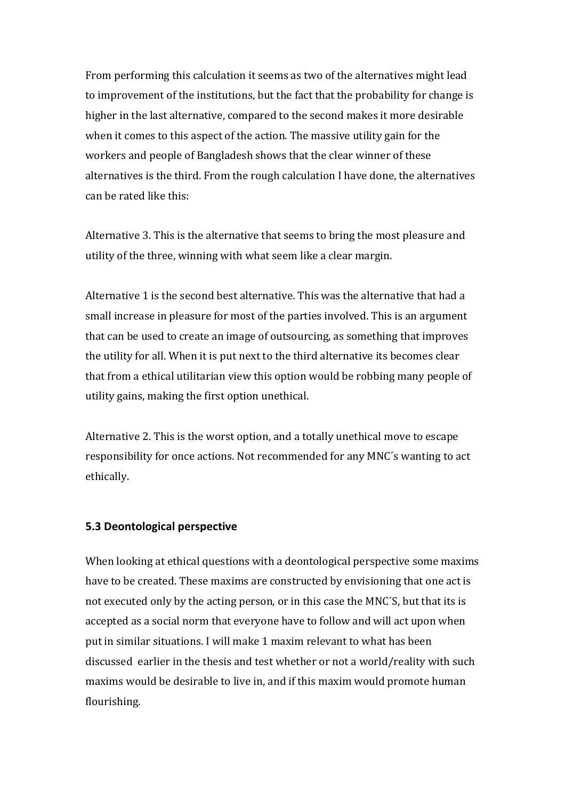From performing this calculation it seems as two of the alternatives might lead to improvement of the institutions, but the fact that the probability for change is higher in the last alternative, compared to the second makes it more desirable when it comes to this aspect of the action. The massive utility gain for the workers and people of Bangladesh shows that the clear winner of these alternatives is the third. From the rough calculation I have done, the alternatives can be rated like this:

Alternative 3. This is the alternative that seems to bring the most pleasure and utility of the three, winning with what seem like a clear margin.

Alternative 1 is the second best alternative. This was the alternative that had a small increase in pleasure for most of the parties involved. This is an argument that can be used to create an image of outsourcing, as something that improves the utility for all. When it is put next to the third alternative its becomes clear that from a ethical utilitarian view this option would be robbing many people of utility gains, making the first option unethical.

Alternative 2. This is the worst option, and a totally unethical move to escape responsibility for once actions. Not recommended for any MNC's wanting to act ethically.

#### **5.3 Deontological perspective**

When looking at ethical questions with a deontological perspective some maxims have to be created. These maxims are constructed by envisioning that one act is not executed only by the acting person, or in this case the MNC'S, but that its is accepted as a social norm that everyone have to follow and will act upon when put in similar situations. I will make 1 maxim relevant to what has been discussed earlier in the thesis and test whether or not a world/reality with such maxims would be desirable to live in, and if this maxim would promote human flourishing.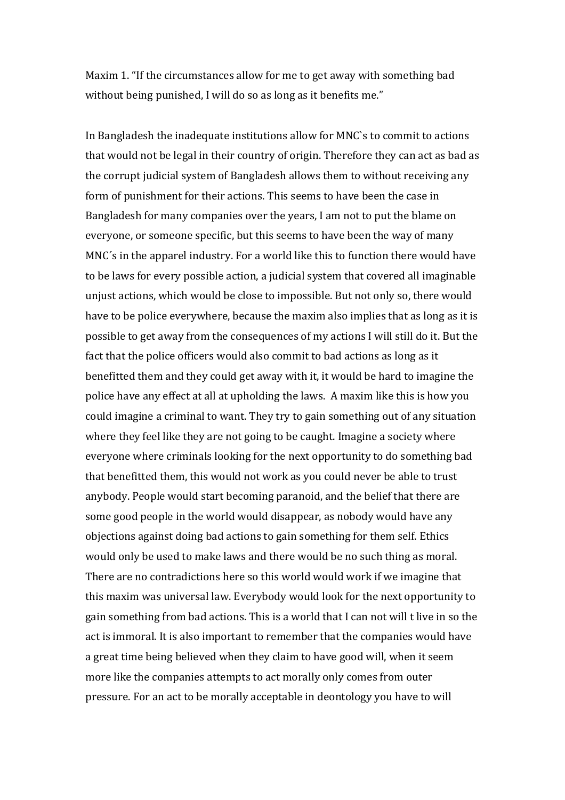Maxim 1. "If the circumstances allow for me to get away with something bad without being punished, I will do so as long as it benefits me."

In Bangladesh the inadequate institutions allow for MNC's to commit to actions that would not be legal in their country of origin. Therefore they can act as bad as the corrupt judicial system of Bangladesh allows them to without receiving any form of punishment for their actions. This seems to have been the case in Bangladesh for many companies over the years, I am not to put the blame on everyone, or someone specific, but this seems to have been the way of many MNC's in the apparel industry. For a world like this to function there would have to be laws for every possible action, a judicial system that covered all imaginable unjust actions, which would be close to impossible. But not only so, there would have to be police everywhere, because the maxim also implies that as long as it is possible to get away from the consequences of my actions I will still do it. But the fact that the police officers would also commit to bad actions as long as it benefitted them and they could get away with it, it would be hard to imagine the police have any effect at all at upholding the laws. A maxim like this is how you could imagine a criminal to want. They try to gain something out of any situation where they feel like they are not going to be caught. Imagine a society where everyone where criminals looking for the next opportunity to do something bad that benefitted them, this would not work as you could never be able to trust anybody. People would start becoming paranoid, and the belief that there are some good people in the world would disappear, as nobody would have any objections against doing bad actions to gain something for them self. Ethics would only be used to make laws and there would be no such thing as moral. There are no contradictions here so this world would work if we imagine that this maxim was universal law. Everybody would look for the next opportunity to gain something from bad actions. This is a world that I can not will t live in so the act is immoral. It is also important to remember that the companies would have a great time being believed when they claim to have good will, when it seem more like the companies attempts to act morally only comes from outer pressure. For an act to be morally acceptable in deontology you have to will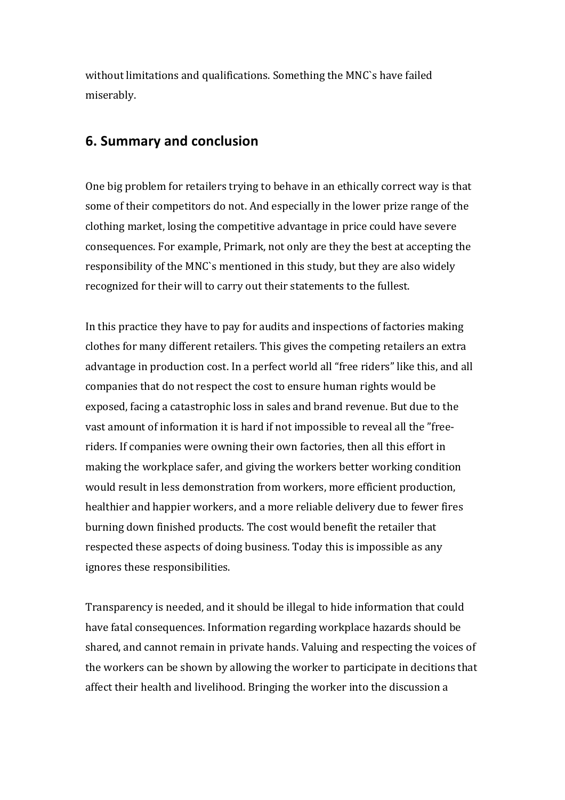without limitations and qualifications. Something the MNC's have failed miserably. 

# **6. Summary and conclusion**

One big problem for retailers trying to behave in an ethically correct way is that some of their competitors do not. And especially in the lower prize range of the clothing market, losing the competitive advantage in price could have severe consequences. For example, Primark, not only are they the best at accepting the responsibility of the MNC's mentioned in this study, but they are also widely recognized for their will to carry out their statements to the fullest.

In this practice they have to pay for audits and inspections of factories making clothes for many different retailers. This gives the competing retailers an extra advantage in production cost. In a perfect world all "free riders" like this, and all companies that do not respect the cost to ensure human rights would be exposed, facing a catastrophic loss in sales and brand revenue. But due to the vast amount of information it is hard if not impossible to reveal all the "freeriders. If companies were owning their own factories, then all this effort in making the workplace safer, and giving the workers better working condition would result in less demonstration from workers, more efficient production, healthier and happier workers, and a more reliable delivery due to fewer fires burning down finished products. The cost would benefit the retailer that respected these aspects of doing business. Today this is impossible as any ignores these responsibilities.

Transparency is needed, and it should be illegal to hide information that could have fatal consequences. Information regarding workplace hazards should be shared, and cannot remain in private hands. Valuing and respecting the voices of the workers can be shown by allowing the worker to participate in decitions that affect their health and livelihood. Bringing the worker into the discussion a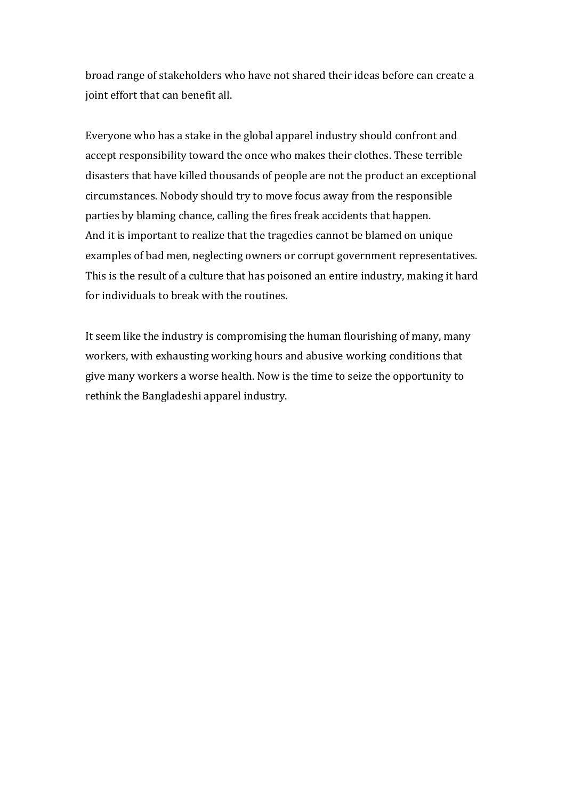broad range of stakeholders who have not shared their ideas before can create a joint effort that can benefit all.

Everyone who has a stake in the global apparel industry should confront and accept responsibility toward the once who makes their clothes. These terrible disasters that have killed thousands of people are not the product an exceptional circumstances. Nobody should try to move focus away from the responsible parties by blaming chance, calling the fires freak accidents that happen. And it is important to realize that the tragedies cannot be blamed on unique examples of bad men, neglecting owners or corrupt government representatives. This is the result of a culture that has poisoned an entire industry, making it hard for individuals to break with the routines.

It seem like the industry is compromising the human flourishing of many, many workers, with exhausting working hours and abusive working conditions that give many workers a worse health. Now is the time to seize the opportunity to rethink the Bangladeshi apparel industry.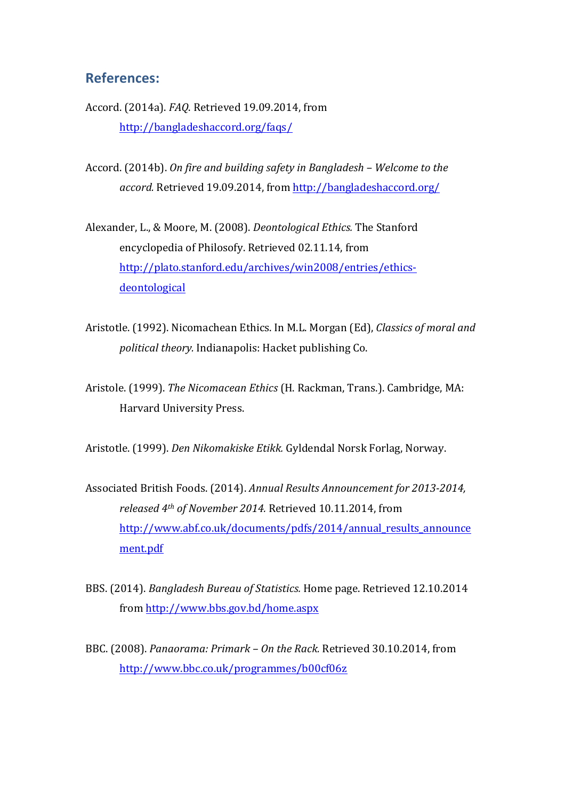# **References:**

- Accord. (2014a). *FAQ*. Retrieved 19.09.2014, from http://bangladeshaccord.org/faqs/
- Accord. (2014b). *On fire and building safety in Bangladesh Welcome to the accord.* Retrieved 19.09.2014, from http://bangladeshaccord.org/
- Alexander, L., & Moore, M. (2008). *Deontological Ethics*. The Stanford encyclopedia of Philosofy. Retrieved 02.11.14, from http://plato.stanford.edu/archives/win2008/entries/ethicsdeontological
- Aristotle. (1992). Nicomachean Ethics. In M.L. Morgan (Ed). *Classics of moral and political theory.* Indianapolis: Hacket publishing Co.
- Aristole. (1999). *The Nicomacean Ethics* (H. Rackman, Trans.). Cambridge, MA: Harvard University Press.

Aristotle. (1999). *Den Nikomakiske Etikk.* Gyldendal Norsk Forlag, Norway.

- Associated British Foods. (2014). Annual Results Announcement for 2013-2014, *released* 4<sup>th</sup> of November 2014. Retrieved 10.11.2014, from http://www.abf.co.uk/documents/pdfs/2014/annual\_results\_announce ment.pdf
- BBS. (2014). *Bangladesh Bureau of Statistics.* Home page. Retrieved 12.10.2014 from http://www.bbs.gov.bd/home.aspx
- BBC. (2008). *Panaorama: Primark On the Rack.* Retrieved 30.10.2014, from http://www.bbc.co.uk/programmes/b00cf06z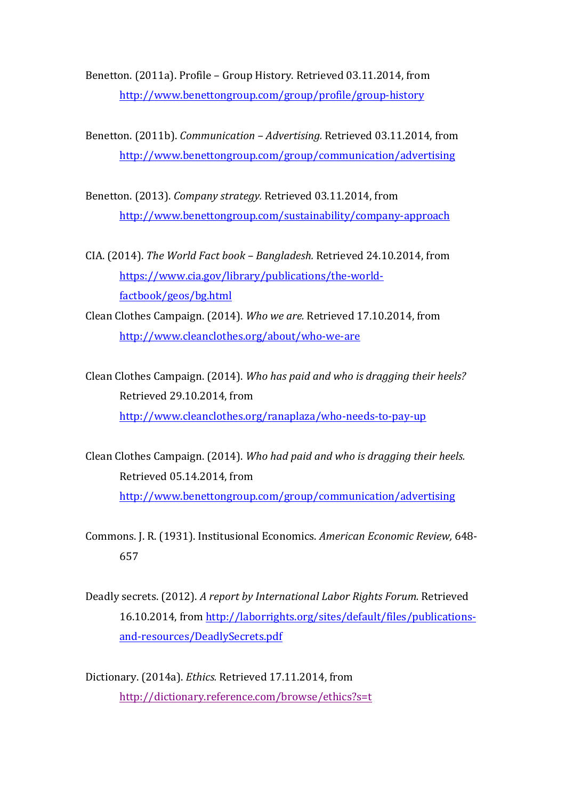Benetton. (2011a). Profile - Group History. Retrieved 03.11.2014, from http://www.benettongroup.com/group/profile/group-history

Benetton. (2011b). *Communication - Advertising.* Retrieved 03.11.2014, from http://www.benettongroup.com/group/communication/advertising

Benetton. (2013). *Company strategy.* Retrieved 03.11.2014, from http://www.benettongroup.com/sustainability/company-approach

CIA. (2014). *The World Fact book - Bangladesh.* Retrieved 24.10.2014, from https://www.cia.gov/library/publications/the-worldfactbook/geos/bg.html

Clean Clothes Campaign. (2014). *Who we are.* Retrieved 17.10.2014, from http://www.cleanclothes.org/about/who-we-are

Clean Clothes Campaign. (2014). *Who has paid and who is dragging their heels?* Retrieved 29.10.2014, from http://www.cleanclothes.org/ranaplaza/who-needs-to-pay-up

Clean Clothes Campaign. (2014). *Who had paid and who is dragging their heels.* Retrieved 05.14.2014, from http://www.benettongroup.com/group/communication/advertising

Commons. J. R. (1931). Institusional Economics. *American Economic Review,* 648- 657

Deadly secrets. (2012). A report by International Labor Rights Forum. Retrieved 16.10.2014, from http://laborrights.org/sites/default/files/publicationsand-resources/DeadlySecrets.pdf

Dictionary. (2014a). *Ethics.* Retrieved 17.11.2014, from http://dictionary.reference.com/browse/ethics?s=t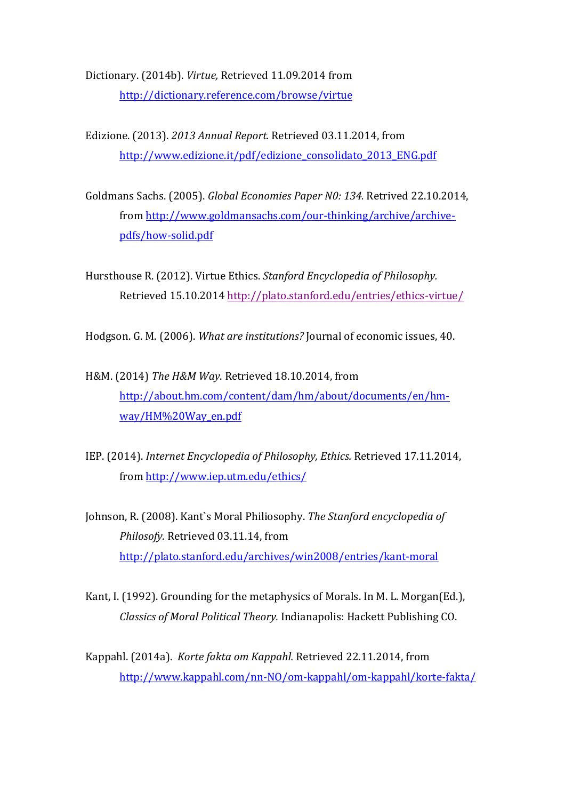Dictionary. (2014b). *Virtue*, Retrieved 11.09.2014 from http://dictionary.reference.com/browse/virtue

Edizione. (2013). 2013 Annual Report. Retrieved 03.11.2014, from http://www.edizione.it/pdf/edizione\_consolidato\_2013\_ENG.pdf

Goldmans Sachs. (2005). *Global Economies Paper N0: 134.* Retrived 22.10.2014, from http://www.goldmansachs.com/our-thinking/archive/archivepdfs/how-solid.pdf

Hursthouse R. (2012). Virtue Ethics. *Stanford Encyclopedia of Philosophy.* Retrieved 15.10.2014 http://plato.stanford.edu/entries/ethics-virtue/

Hodgson. G. M. (2006). *What are institutions?* Journal of economic issues, 40.

H&M. (2014) *The H&M Way*. Retrieved 18.10.2014, from http://about.hm.com/content/dam/hm/about/documents/en/hmway/HM%20Way\_en.pdf

IEP. (2014). *Internet Encyclopedia of Philosophy, Ethics.* Retrieved 17.11.2014, from http://www.iep.utm.edu/ethics/

Johnson, R. (2008). Kant`s Moral Philiosophy. *The Stanford encyclopedia of* Philosofy. Retrieved 03.11.14, from http://plato.stanford.edu/archives/win2008/entries/kant-moral

Kant, I. (1992). Grounding for the metaphysics of Morals. In M. L. Morgan(Ed.), *Classics of Moral Political Theory.* Indianapolis: Hackett Publishing CO.

Kappahl. (2014a). *Korte fakta om Kappahl.* Retrieved 22.11.2014, from http://www.kappahl.com/nn-NO/om-kappahl/om-kappahl/korte-fakta/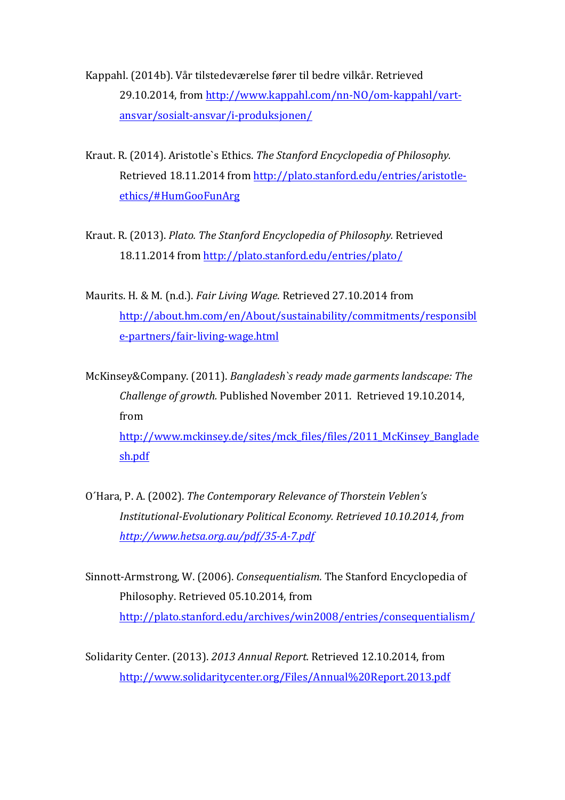Kappahl. (2014b). Vår tilstedeværelse fører til bedre vilkår. Retrieved 29.10.2014, from http://www.kappahl.com/nn-NO/om-kappahl/vartansvar/sosialt-ansvar/i-produksjonen/

- Kraut. R. (2014). Aristotle's Ethics. The Stanford Encyclopedia of Philosophy. Retrieved 18.11.2014 from http://plato.stanford.edu/entries/aristotleethics/#HumGooFunArg
- Kraut. R. (2013). *Plato. The Stanford Encyclopedia of Philosophy.* Retrieved 18.11.2014 from http://plato.stanford.edu/entries/plato/
- Maurits. H. & M. (n.d.). *Fair Living Wage*. Retrieved 27.10.2014 from http://about.hm.com/en/About/sustainability/commitments/responsibl e-partners/fair-living-wage.html

McKinsey&Company. (2011). *Bangladesh`s ready made garments landscape: The Challenge of growth.* Published November 2011. Retrieved 19.10.2014, from http://www.mckinsey.de/sites/mck\_files/files/2011\_McKinsey\_Banglade sh.pdf

- O'Hara, P. A. (2002). *The Contemporary Relevance of Thorstein Veblen's Institutional-Evolutionary Political Economy. Retrieved 10.10.2014, from http://www.hetsa.org.au/pdf/35-A-7.pdf*
- Sinnott-Armstrong, W. (2006). *Consequentialism*. The Stanford Encyclopedia of Philosophy. Retrieved 05.10.2014, from http://plato.stanford.edu/archives/win2008/entries/consequentialism/

Solidarity Center. (2013). 2013 Annual Report. Retrieved 12.10.2014, from http://www.solidaritycenter.org/Files/Annual%20Report.2013.pdf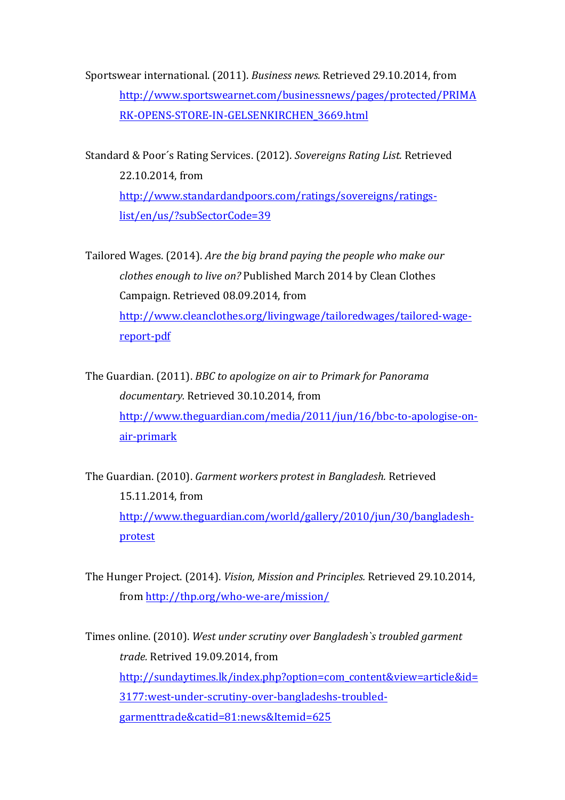Sportswear international. (2011). *Business news.* Retrieved 29.10.2014, from http://www.sportswearnet.com/businessnews/pages/protected/PRIMA RK-OPENS-STORE-IN-GELSENKIRCHEN\_3669.html

Standard & Poor's Rating Services. (2012). Sovereigns Rating List. Retrieved 22.10.2014, from http://www.standardandpoors.com/ratings/sovereigns/ratingslist/en/us/?subSectorCode=39

Tailored Wages. (2014). *Are the big brand paying the people who make our clothes enough to live on?* Published March 2014 by Clean Clothes Campaign. Retrieved 08.09.2014, from http://www.cleanclothes.org/livingwage/tailoredwages/tailored-wagereport-pdf

The Guardian. (2011). *BBC* to apologize on air to Primark for Panorama documentary. Retrieved 30.10.2014, from http://www.theguardian.com/media/2011/jun/16/bbc-to-apologise-onair-primark

The Guardian. (2010). *Garment workers protest in Bangladesh*. Retrieved 15.11.2014. from http://www.theguardian.com/world/gallery/2010/jun/30/bangladeshprotest

The Hunger Project. (2014). *Vision, Mission and Principles.* Retrieved 29.10.2014, from http://thp.org/who-we-are/mission/

Times online. (2010). West under scrutiny over Bangladesh's troubled garment *trade.* Retrived 19.09.2014, from http://sundaytimes.lk/index.php?option=com\_content&view=article&id= 3177:west-under-scrutiny-over-bangladeshs-troubledgarmenttrade&catid=81:news&Itemid=625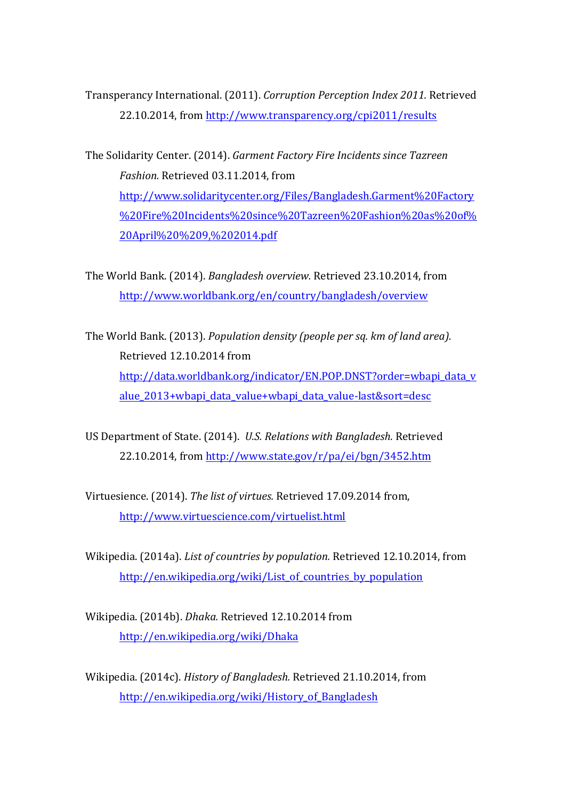Transperancy International. (2011). *Corruption Perception Index 2011.* Retrieved 22.10.2014, from http://www.transparency.org/cpi2011/results

The Solidarity Center. (2014). *Garment Factory Fire Incidents since Tazreen Fashion.* Retrieved 03.11.2014, from http://www.solidaritycenter.org/Files/Bangladesh.Garment%20Factory %20Fire%20Incidents%20since%20Tazreen%20Fashion%20as%20of% 20April%20%209,%202014.pdf

The World Bank. (2014). *Bangladesh overview.* Retrieved 23.10.2014. from http://www.worldbank.org/en/country/bangladesh/overview

The World Bank. (2013). *Population density (people per sq. km of land area).* Retrieved 12.10.2014 from http://data.worldbank.org/indicator/EN.POP.DNST?order=wbapi\_data\_v alue\_2013+wbapi\_data\_value+wbapi\_data\_value-last&sort=desc

US Department of State. (2014). *U.S. Relations with Bangladesh.* Retrieved  $22.10.2014$ , from http://www.state.gov/r/pa/ei/bgn/3452.htm

Virtuesience. (2014). *The list of virtues.* Retrieved 17.09.2014 from, http://www.virtuescience.com/virtuelist.html

Wikipedia. (2014a). *List of countries by population*. Retrieved 12.10.2014, from http://en.wikipedia.org/wiki/List\_of\_countries\_by\_population

Wikipedia. (2014b). *Dhaka.* Retrieved 12.10.2014 from http://en.wikipedia.org/wiki/Dhaka

Wikipedia. (2014c). *History of Bangladesh.* Retrieved 21.10.2014, from http://en.wikipedia.org/wiki/History\_of\_Bangladesh